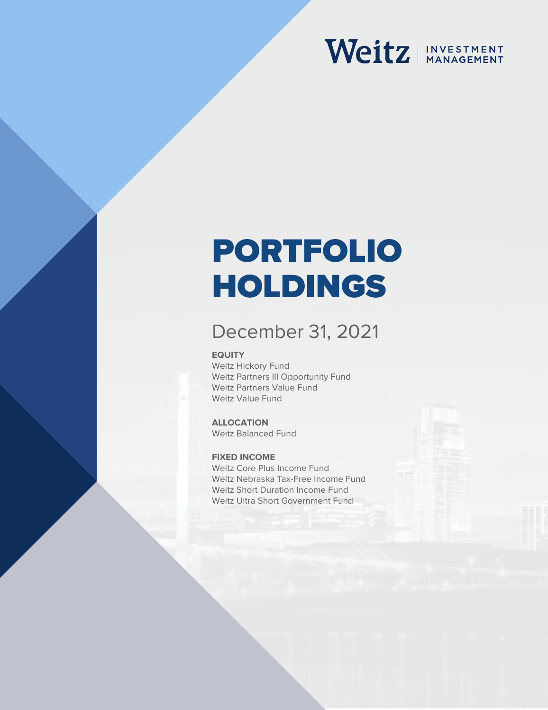# Weitz | INVESTMENT

# PORTFOLIO HOLDINGS

## December 31, 2021

### **EQUITY**

Weitz Hickory Fund Weitz Partners III Opportunity Fund Weitz Partners Value Fund Weitz Value Fund

### **ALLOCATION**

Weitz Balanced Fund

### **FIXED INCOME**

Weitz Core Plus Income Fund Weitz Nebraska Tax-Free Income Fund Weitz Short Duration Income Fund Weitz Ultra Short Government Fund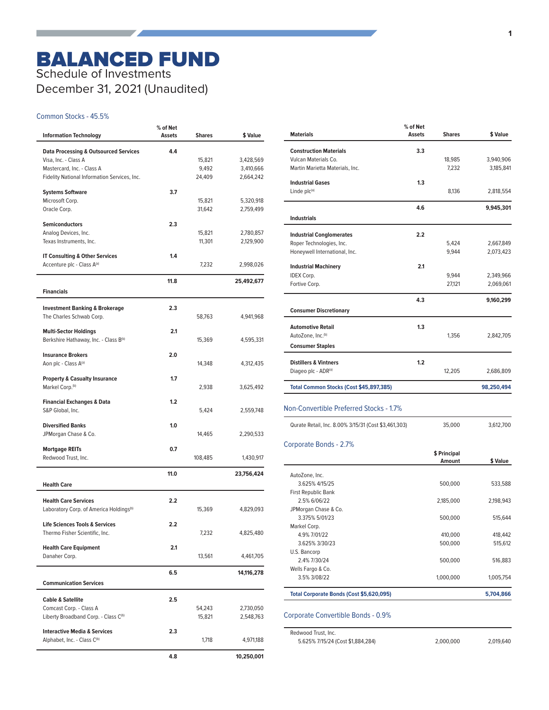### Common Stocks - 45.5%

| <b>Information Technology</b>                       | % of Net<br>Assets | <b>Shares</b> | \$ Value   |
|-----------------------------------------------------|--------------------|---------------|------------|
| <b>Data Processing &amp; Outsourced Services</b>    | 4.4                |               |            |
| Visa, Inc. - Class A                                |                    | 15,821        | 3,428,569  |
| Mastercard, Inc. - Class A                          |                    | 9,492         | 3,410,666  |
| Fidelity National Information Services, Inc.        |                    | 24,409        | 2,664,242  |
| <b>Systems Software</b>                             | 3.7                |               |            |
| Microsoft Corp.                                     |                    | 15,821        | 5,320,918  |
| Oracle Corp.                                        |                    | 31,642        | 2,759,499  |
| <b>Semiconductors</b>                               | 2.3                |               |            |
| Analog Devices, Inc.                                |                    | 15,821        | 2,780,857  |
| Texas Instruments, Inc.                             |                    | 11,301        | 2,129,900  |
| <b>IT Consulting &amp; Other Services</b>           | 1.4                |               |            |
| Accenture plc - Class A(a)                          |                    | 7,232         | 2,998,026  |
|                                                     | 11.8               |               | 25,492,677 |
| <b>Financials</b>                                   |                    |               |            |
| <b>Investment Banking &amp; Brokerage</b>           | 2.3                |               |            |
| The Charles Schwab Corp.                            |                    | 58,763        | 4,941,968  |
| <b>Multi-Sector Holdings</b>                        | 2.1                |               |            |
| Berkshire Hathaway, Inc. - Class B(b)               |                    | 15,369        | 4,595,331  |
|                                                     | 2.0                |               |            |
| <b>Insurance Brokers</b><br>Aon plc - Class A(a)    |                    | 14,348        | 4,312,435  |
|                                                     |                    |               |            |
| <b>Property &amp; Casualty Insurance</b>            | 1.7                |               |            |
| Markel Corp. <sup>(b)</sup>                         |                    | 2,938         | 3,625,492  |
| <b>Financial Exchanges &amp; Data</b>               | 1.2                |               |            |
| S&P Global, Inc.                                    |                    | 5,424         | 2,559,748  |
| <b>Diversified Banks</b>                            | 1.0                |               |            |
| JPMorgan Chase & Co.                                |                    | 14,465        | 2,290,533  |
| <b>Mortgage REITs</b>                               | 0.7                |               |            |
| Redwood Trust, Inc.                                 |                    | 108,485       | 1,430,917  |
|                                                     | 11.0               |               | 23,756,424 |
| <b>Health Care</b>                                  |                    |               |            |
| <b>Health Care Services</b>                         | 2.2                |               |            |
| Laboratory Corp. of America Holdings <sup>(b)</sup> |                    | 15,369        | 4,829,093  |
| <b>Life Sciences Tools &amp; Services</b>           |                    |               |            |
| Thermo Fisher Scientific, Inc.                      | 2.2                | 7,232         | 4,825,480  |
|                                                     |                    |               |            |
| <b>Health Care Equipment</b>                        | 2.1                |               |            |
| Danaher Corp.                                       |                    | 13,561        | 4,461,705  |
| <b>Communication Services</b>                       | 6.5                |               | 14,116,278 |
|                                                     |                    |               |            |
| <b>Cable &amp; Satellite</b>                        | 2.5                |               |            |
| Comcast Corp. - Class A                             |                    | 54,243        | 2,730,050  |
| Liberty Broadband Corp. - Class C <sup>(b)</sup>    |                    | 15,821        | 2,548,763  |
| <b>Interactive Media &amp; Services</b>             | 2.3                |               |            |
| Alphabet, Inc. - Class C(b)                         |                    | 1,718         | 4,971,188  |
|                                                     | 4.8                |               | 10,250,001 |
|                                                     |                    |               |            |

| <b>Materials</b>                                     | % of Net<br><b>Assets</b> | <b>Shares</b> | \$ Value   |
|------------------------------------------------------|---------------------------|---------------|------------|
| <b>Construction Materials</b>                        | 3.3                       |               |            |
| Vulcan Materials Co.                                 |                           | 18,985        | 3,940,906  |
| Martin Marietta Materials, Inc.                      |                           | 7.232         | 3,185,841  |
| <b>Industrial Gases</b>                              | 1.3                       |               |            |
| Linde plc(a)                                         |                           | 8,136         | 2,818,554  |
|                                                      | 4.6                       |               | 9,945,301  |
| <b>Industrials</b>                                   |                           |               |            |
| <b>Industrial Conglomerates</b>                      | 2.2                       |               |            |
| Roper Technologies, Inc.                             |                           | 5,424         | 2,667,849  |
| Honeywell International, Inc.                        |                           | 9,944         | 2,073,423  |
| <b>Industrial Machinery</b>                          | 2.1                       |               |            |
| IDEX Corp.                                           |                           | 9,944         | 2,349,966  |
| Fortive Corp.                                        |                           | 27,121        | 2,069,061  |
|                                                      | 4.3                       |               | 9,160,299  |
| <b>Consumer Discretionary</b>                        |                           |               |            |
| <b>Automotive Retail</b>                             | 1.3                       |               |            |
| AutoZone, Inc. <sup>(b)</sup>                        |                           | 1,356         | 2,842,705  |
| <b>Consumer Staples</b>                              |                           |               |            |
| <b>Distillers &amp; Vintners</b>                     | 1.2                       |               |            |
| Diageo plc - ADR(a)                                  |                           | 12,205        | 2,686,809  |
| Total Common Stocks (Cost \$45,897,385)              |                           |               | 98,250,494 |
| Non-Convertible Preferred Stocks - 1.7%              |                           |               |            |
| Qurate Retail, Inc. 8.00% 3/15/31 (Cost \$3,461,303) |                           | 35,000        | 3,612,700  |

### Corporate Bonds - 2.7%

|                                          | \$ Principal<br>Amount | \$ Value  |
|------------------------------------------|------------------------|-----------|
|                                          |                        |           |
| AutoZone, Inc.                           |                        |           |
| 3.625% 4/15/25                           | 500,000                | 533,588   |
| First Republic Bank                      |                        |           |
| 2.5% 6/06/22                             | 2,185,000              | 2,198,943 |
| JPMorgan Chase & Co.                     |                        |           |
| 3.375% 5/01/23                           | 500,000                | 515,644   |
| Markel Corp.                             |                        |           |
| 4.9% 7/01/22                             | 410,000                | 418,442   |
| 3.625% 3/30/23                           | 500,000                | 515,612   |
| U.S. Bancorp                             |                        |           |
| 2.4% 7/30/24                             | 500,000                | 516,883   |
| Wells Fargo & Co.                        |                        |           |
| 3.5% 3/08/22                             | 1,000,000              | 1,005,754 |
| Total Corporate Bonds (Cost \$5,620,095) |                        | 5,704,866 |

### Corporate Convertible Bonds - 0.9%

Redwood Trust, Inc.

5.625% 7/15/24 (Cost \$1,884,284) 2,000,000 2,019,640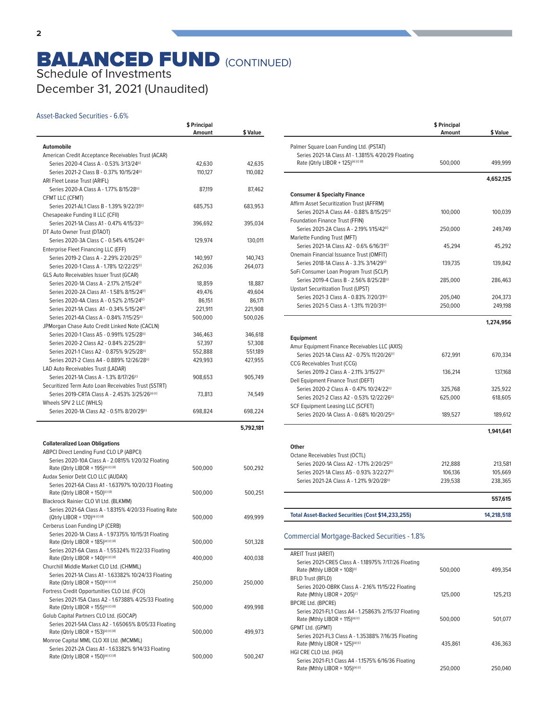December 31, 2021 (Unaudited)

### Asset-Backed Securities - 6.6%

|                                                                                                              | \$ Principal<br>Amount | \$ Value         |
|--------------------------------------------------------------------------------------------------------------|------------------------|------------------|
| Automobile                                                                                                   |                        |                  |
| American Credit Acceptance Receivables Trust (ACAR)                                                          |                        |                  |
| Series 2020-4 Class A - 0.53% 3/13/24 <sup>(c)</sup>                                                         | 42,630                 | 42,635           |
| Series 2021-2 Class B - 0.37% 10/15/24(c)                                                                    | 110,127                | 110,082          |
| ARI Fleet Lease Trust (ARIFL)                                                                                |                        |                  |
| Series 2020-A Class A - 1.77% 8/15/28 <sup>(c)</sup>                                                         | 87,119                 | 87,462           |
| CFMT LLC (CFMT)<br>Series 2021-AL1 Class B - 1.39% 9/22/31 <sup>(c)</sup>                                    | 685,753                | 683,953          |
| Chesapeake Funding II LLC (CFII)                                                                             |                        |                  |
| Series 2021-1A Class A1 - 0.47% 4/15/33(c)                                                                   | 396,692                | 395,034          |
| DT Auto Owner Trust (DTAOT)                                                                                  |                        |                  |
| Series 2020-3A Class C - 0.54% 4/15/24(c)                                                                    | 129,974                | 130,011          |
| Enterprise Fleet Financing LLC (EFF)                                                                         |                        |                  |
| Series 2019-2 Class A - 2.29% 2/20/25 <sup>(c)</sup>                                                         | 140,997                | 140,743          |
| Series 2020-1 Class A - 1.78% 12/22/25 <sup>(c)</sup>                                                        | 262,036                | 264,073          |
| GLS Auto Receivables Issuer Trust (GCAR)<br>Series 2020-1A Class A - 2.17% 2/15/24(c)                        |                        |                  |
| Series 2020-2A Class A1 - 1.58% 8/15/24(c)                                                                   | 18,859<br>49,476       | 18,887<br>49,604 |
| Series 2020-4A Class A - 0.52% 2/15/24 <sup>(c)</sup>                                                        | 86,151                 | 86,171           |
| Series 2021-1A Class A1 - 0.34% 5/15/24 <sup>(c)</sup>                                                       | 221,911                | 221,908          |
| Series 2021-4A Class A - 0.84% 7/15/25(c)                                                                    | 500,000                | 500,026          |
| JPMorgan Chase Auto Credit Linked Note (CACLN)                                                               |                        |                  |
| Series 2020-1 Class A5 - 0.991% 1/25/28(c)                                                                   | 346,463                | 346,618          |
| Series 2020-2 Class A2 - 0.84% 2/25/28 <sup>(c)</sup>                                                        | 57,397                 | 57,308           |
| Series 2021-1 Class A2 - 0.875% 9/25/28 <sup>(c)</sup>                                                       | 552,888                | 551,189          |
| Series 2021-2 Class A4 - 0.889% 12/26/28(c)                                                                  | 429,993                | 427,955          |
| LAD Auto Receivables Trust (LADAR)                                                                           |                        |                  |
| Series 2021-1A Class A - 1.3% 8/17/26 <sup>(c)</sup><br>Securitized Term Auto Loan Receivables Trust (SSTRT) | 908,653                | 905,749          |
| Series 2019-CRTA Class A - 2.453% 3/25/26(a) (c)                                                             | 73,813                 | 74,549           |
| Wheels SPV 2 LLC (WHLS)                                                                                      |                        |                  |
| Series 2020-1A Class A2 - 0.51% 8/20/29 <sup>(c)</sup>                                                       | 698,824                | 698,224          |
|                                                                                                              |                        | 5,792,181        |
| <b>Collateralized Loan Obligations</b>                                                                       |                        |                  |
| ABPCI Direct Lending Fund CLO LP (ABPCI)                                                                     |                        |                  |
| Series 2020-10A Class A - 2.0815% 1/20/32 Floating                                                           |                        |                  |
| Rate (Qtrly LIBOR + 195)(a) (c) (d)                                                                          | 500,000                | 500,292          |
| Audax Senior Debt CLO LLC (AUDAX)                                                                            |                        |                  |
| Series 2021-6A Class A1 - 1.63797% 10/20/33 Floating<br>Rate (Qtrly LIBOR + 150)(c) (d)                      | 500,000                | 500,251          |
| Blackrock Rainier CLO VI Ltd. (BLKMM)                                                                        |                        |                  |
| Series 2021-6A Class A - 1.8315% 4/20/33 Floating Rate                                                       |                        |                  |
| (Qtrly LIBOR + 170)(a) (c) (d)                                                                               | 500,000                | 499,999          |
| Cerberus Loan Funding LP (CERB)                                                                              |                        |                  |
| Series 2020-1A Class A - 1.97375% 10/15/31 Floating                                                          |                        |                  |
| Rate (Qtrly LIBOR + 185)(a) (c) (d)                                                                          | 500,000                | 501,328          |
| Series 2021-6A Class A - 1.55324% 11/22/33 Floating<br>Rate (Qtrly LIBOR + 140)(a) (c) (d)                   | 400,000                | 400,038          |
| Churchill Middle Market CLO Ltd. (CHMML)                                                                     |                        |                  |
| Series 2021-1A Class A1 - 1.63382% 10/24/33 Floating                                                         |                        |                  |
| Rate (Qtrly LIBOR + 150)(a) (c) (d)                                                                          | 250,000                | 250,000          |
| Fortress Credit Opportunities CLO Ltd. (FCO)                                                                 |                        |                  |
| Series 2021-15A Class A2 - 1.67388% 4/25/33 Floating                                                         |                        |                  |
| Rate (Qtrly LIBOR + 155)(a) (c) (d)                                                                          | 500,000                | 499,998          |
| Golub Capital Partners CLO Ltd. (GOCAP)<br>Series 2021-54A Class A2 - 1.65065% 8/05/33 Floating              |                        |                  |
| Rate (Qtrly LIBOR + 153)(a) (c) (d)                                                                          | 500,000                | 499,973          |
| Monroe Capital MML CLO XII Ltd. (MCMML)                                                                      |                        |                  |
| Series 2021-2A Class A1 - 1.63382% 9/14/33 Floating                                                          |                        |                  |
| Rate (Qtrly LIBOR + 150)(a) (c) (d)                                                                          | 500,000                | 500,247          |

|                                                                                               | \$ Principal<br>Amount | \$ Value   |
|-----------------------------------------------------------------------------------------------|------------------------|------------|
|                                                                                               |                        |            |
| Palmer Square Loan Funding Ltd. (PSTAT)<br>Series 2021-1A Class A1 - 1.3815% 4/20/29 Floating |                        |            |
| Rate (Qtrly LIBOR + 125)(a) (c) (d)                                                           | 500,000                | 499,999    |
|                                                                                               |                        | 4,652,125  |
| <b>Consumer &amp; Specialty Finance</b>                                                       |                        |            |
| Affirm Asset Securitization Trust (AFFRM)                                                     |                        |            |
| Series 2021-A Class A4 - 0.88% 8/15/25 <sup>(c)</sup>                                         | 100,000                | 100,039    |
| Foundation Finance Trust (FFIN)                                                               |                        |            |
| Series 2021-2A Class A - 2.19% 1/15/42 <sup>(c)</sup>                                         | 250,000                | 249,749    |
| Marlette Funding Trust (MFT)                                                                  |                        |            |
| Series 2021-1A Class A2 - 0.6% 6/16/31(c)                                                     | 45,294                 | 45,292     |
| Onemain Financial Issuance Trust (OMFIT)                                                      |                        |            |
| Series 2018-1A Class A - 3.3% 3/14/29 <sup>(c)</sup>                                          | 139,735                | 139,842    |
| SoFi Consumer Loan Program Trust (SCLP)                                                       |                        |            |
| Series 2019-4 Class B - 2.56% 8/25/28(c)                                                      | 285,000                | 286,463    |
| <b>Upstart Securitization Trust (UPST)</b>                                                    |                        |            |
| Series 2021-3 Class A - 0.83% 7/20/31 <sup>(c)</sup>                                          | 205,040                | 204,373    |
| Series 2021-5 Class A - 1.31% 11/20/31 <sup>(c)</sup>                                         | 250,000                | 249,198    |
|                                                                                               |                        | 1,274,956  |
| Equipment                                                                                     |                        |            |
| Amur Equipment Finance Receivables LLC (AXIS)                                                 |                        |            |
| Series 2021-1A Class A2 - 0.75% 11/20/26 <sup>(c)</sup>                                       | 672,991                | 670,334    |
| CCG Receivables Trust (CCG)                                                                   |                        |            |
| Series 2019-2 Class A - 2.11% 3/15/27 <sup>(c)</sup>                                          | 136,214                | 137,168    |
| Dell Equipment Finance Trust (DEFT)                                                           |                        |            |
| Series 2020-2 Class A - 0.47% 10/24/22(c)                                                     | 325,768                | 325,922    |
| Series 2021-2 Class A2 - 0.53% 12/22/26 <sup>(c)</sup>                                        | 625,000                | 618,605    |
| SCF Equipment Leasing LLC (SCFET)                                                             |                        |            |
| Series 2020-1A Class A - 0.68% 10/20/25 <sup>(c)</sup>                                        | 189,527                | 189,612    |
|                                                                                               |                        | 1,941,641  |
| Other                                                                                         |                        |            |
| Octane Receivables Trust (OCTL)                                                               |                        |            |
| Series 2020-1A Class A2 - 1.71% 2/20/25 <sup>(c)</sup>                                        | 212,888                | 213,581    |
| Series 2021-1A Class A5 - 0.93% 3/22/27 <sup>(c)</sup>                                        | 106,136                | 105,669    |
| Series 2021-2A Class A - 1.21% 9/20/28 <sup>(c)</sup>                                         | 239,538                | 238,365    |
|                                                                                               |                        | 557,615    |
| Total Asset-Backed Securities (Cost \$14,233,255)                                             |                        | 14,218,518 |
|                                                                                               |                        |            |

### Commercial Mortgage-Backed Securities - 1.8%

| <b>AREIT Trust (AREIT)</b>                           |         |         |
|------------------------------------------------------|---------|---------|
| Series 2021-CRE5 Class A - 1.18975% 7/17/26 Floating |         |         |
| Rate (Mthly LIBOR + 108)(c)                          | 500,000 | 499.354 |
| <b>BFLD Trust (BFLD)</b>                             |         |         |
| Series 2020-OBRK Class A - 2.16% 11/15/22 Floating   |         |         |
| Rate (Mthly LIBOR + 205)(c)                          | 125,000 | 125.213 |
| <b>BPCRE Ltd. (BPCRE)</b>                            |         |         |
| Series 2021-FL1 Class A4 - 1.25863% 2/15/37 Floating |         |         |
| Rate (Mthly LIBOR + 115)(a) (c)                      | 500,000 | 501,077 |
| GPMT Ltd. (GPMT)                                     |         |         |
| Series 2021-FL3 Class A - 1.35388% 7/16/35 Floating  |         |         |
| Rate (Mthly LIBOR + 125)(a) (c)                      | 435.861 | 436.363 |
| HGI CRE CLO Ltd. (HGI)                               |         |         |
| Series 2021-FL1 Class A4 - 1.1575% 6/16/36 Floating  |         |         |
| Rate (Mthly LIBOR + 105)(a) (c)                      | 250,000 | 250,040 |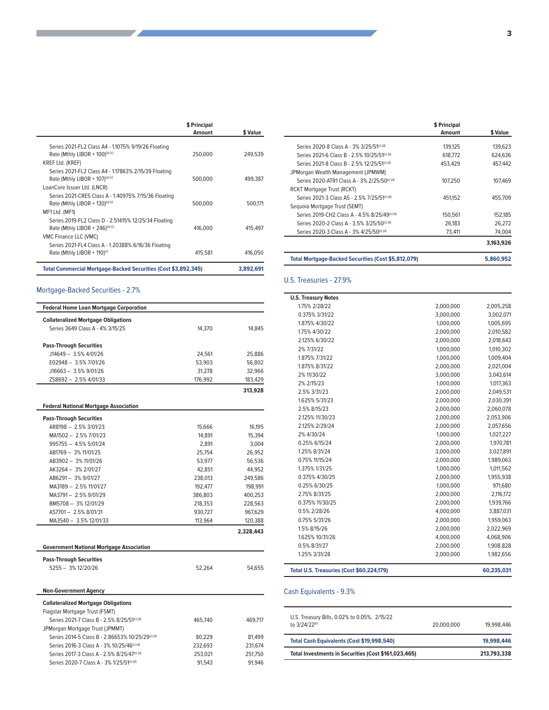|                                                                       | \$ Principal<br>Amount | \$ Value  |
|-----------------------------------------------------------------------|------------------------|-----------|
| Series 2021-FL2 Class A4 - 1.1075% 9/19/26 Floating                   |                        |           |
| Rate (Mthly LIBOR + $100$ ) <sup>(a) (c)</sup>                        | 250,000                | 249,539   |
| KREF Ltd. (KREF)                                                      |                        |           |
| Series 2021-FL2 Class A4 - 1.17863% 2/15/39 Floating                  |                        |           |
| Rate (Mthly LIBOR + $107$ ) <sup>(a) (c)</sup>                        | 500,000                | 499.387   |
| LoanCore Issuer Ltd. (LNCR)                                           |                        |           |
| Series 2021-CRE5 Class A - 1.40975% 7/15/36 Floating                  |                        |           |
| Rate (Mthly LIBOR + 130) <sup>(a) (c)</sup>                           | 500,000                | 500.171   |
| MF1 Ltd. (MF1)                                                        |                        |           |
| Series 2019-FL2 Class D - 2.51415% 12/25/34 Floating                  |                        |           |
| Rate (Mthly LIBOR + 246)(a) (c)                                       | 416,000                | 415.497   |
| VMC Finance LLC (VMC)                                                 |                        |           |
| Series 2021-FL4 Class A - 1.20388% 6/16/36 Floating                   |                        |           |
| Rate (Mthly LIBOR + 110) <sup>(c)</sup>                               | 415,581                | 416,050   |
| <b>Total Commercial Mortgage-Backed Securities (Cost \$3,892,345)</b> |                        | 3,892,691 |

### Mortgage-Backed Securities - 2.7%

| <b>Federal Home Loan Mortgage Corporation</b>           |         |           |
|---------------------------------------------------------|---------|-----------|
| <b>Collateralized Mortgage Obligations</b>              |         |           |
| Series 3649 Class A - 4% 3/15/25                        | 14,370  | 14,845    |
|                                                         |         |           |
| <b>Pass-Through Securities</b>                          |         |           |
| J14649 - 3.5% 4/01/26                                   | 24,561  | 25,886    |
| E02948 - 3.5% 7/01/26                                   | 53,903  | 56,802    |
| $J16663 - 3.5\% 9/01/26$                                | 31,278  | 32,966    |
| ZS8692 - 2.5% 4/01/33                                   | 176,992 | 183,429   |
|                                                         |         | 313,928   |
| <b>Federal National Mortgage Association</b>            |         |           |
| <b>Pass-Through Securities</b>                          |         |           |
| AR8198 - 2.5% 3/01/23                                   | 15,666  | 16,195    |
| MA1502 - 2.5% 7/01/23                                   | 14,891  | 15,394    |
| 995755 - 4.5% 5/01/24                                   | 2,891   | 3,004     |
| AB1769 - 3% 11/01/25                                    | 25,754  | 26,952    |
| AB3902 - 3% 11/01/26                                    | 53,977  | 56,536    |
| AK3264 - 3% 2/01/27                                     | 42,851  | 44,952    |
| AB6291-3% 9/01/27                                       | 238,013 | 249,586   |
| MA3189 - 2.5% 11/01/27                                  | 192,477 | 198,991   |
| MA3791-2.5% 9/01/29                                     | 386,803 | 400,253   |
| BM5708-3% 12/01/29                                      | 218,353 | 228,563   |
| AS7701-2.5% 8/01/31                                     | 930,727 | 967,629   |
| MA3540 - 3.5% 12/01/33                                  | 113,964 | 120,388   |
|                                                         |         | 2,328,443 |
| <b>Government National Mortgage Association</b>         |         |           |
| <b>Pass-Through Securities</b>                          |         |           |
| 5255 - 3% 12/20/26                                      | 52,264  | 54,655    |
|                                                         |         |           |
| <b>Non-Government Agency</b>                            |         |           |
| <b>Collateralized Mortgage Obligations</b>              |         |           |
| Flagstar Mortgage Trust (FSMT)                          |         |           |
| Series 2021-7 Class B - 2.5% 8/25/51 <sup>(c) (d)</sup> | 465,740 | 469,717   |
| JPMorgan Mortgage Trust (JPMMT)                         |         |           |
| Series 2014-5 Class B - 2.86653% 10/25/29(c) (d)        | 80,229  | 81,499    |
| Series 2016-3 Class A - 3% 10/25/46 <sup>(c) (d)</sup>  | 232,693 | 231,674   |
| Series 2017-3 Class A - 2.5% 8/25/47(c) (d)             | 253,021 | 251,750   |
| Series 2020-7 Class A - 3% 1/25/51(c) (d)               | 91,543  | 91,946    |

|                                                          | \$ Principal<br>Amount | \$ Value  |
|----------------------------------------------------------|------------------------|-----------|
|                                                          |                        |           |
| Series 2020-8 Class A - 3% 3/25/51 <sup>(c) (d)</sup>    | 139.125                | 139.623   |
| Series 2021-6 Class B - 2.5% 10/25/51(c) (d)             | 618.772                | 624.636   |
| Series 2021-8 Class B - 2.5% 12/25/51 <sup>(c) (d)</sup> | 453.429                | 457.442   |
| JPMorgan Wealth Management (JPMWM)                       |                        |           |
| Series 2020-ATR1 Class A - 3% 2/25/50(c) (d)             | 107.250                | 107.469   |
| <b>RCKT Mortgage Trust (RCKT)</b>                        |                        |           |
| Series 2021-3 Class A5 - 2.5% 7/25/51 <sup>(c) (d)</sup> | 451.152                | 455.709   |
| Seguoia Mortgage Trust (SEMT)                            |                        |           |
| Series 2019-CH2 Class A - 4.5% 8/25/49© (d)              | 150,561                | 152,185   |
| Series 2020-2 Class A - 3.5% 3/25/50(c) (d)              | 26.183                 | 26.272    |
| Series 2020-3 Class A - 3% 4/25/50(c) (d)                | 73,411                 | 74,004    |
|                                                          |                        | 3,163,926 |
|                                                          |                        |           |

**Total Mortgage-Backed Securities (Cost \$5,812,079) 5,860,952** 

### U.S. Treasuries - 27.9%

| <b>U.S. Treasury Notes</b>                |           |            |
|-------------------------------------------|-----------|------------|
| 1.75% 2/28/22                             | 2,000,000 | 2,005,258  |
| 0.375% 3/31/22                            | 3,000,000 | 3,002,071  |
| 1.875% 4/30/22                            | 1,000,000 | 1,005,695  |
| 1.75% 4/30/22                             | 2,000,000 | 2,010,582  |
| 2.125% 6/30/22                            | 2,000,000 | 2,018,643  |
| 2% 7/31/22                                | 1,000,000 | 1,010,302  |
| 1.875% 7/31/22                            | 1,000,000 | 1,009,404  |
| 1.875% 8/31/22                            | 2,000,000 | 2,021,004  |
| 2% 11/30/22                               | 3,000,000 | 3,043,614  |
| 2% 2/15/23                                | 1,000,000 | 1,017,363  |
| 2.5% 3/31/23                              | 2,000,000 | 2,049,531  |
| 1.625% 5/31/23                            | 2,000,000 | 2,030,391  |
| 2.5% 8/15/23                              | 2,000,000 | 2,060,078  |
| 2.125% 11/30/23                           | 2,000,000 | 2,053,906  |
| 2.125% 2/29/24                            | 2,000,000 | 2,057,656  |
| 2% 4/30/24                                | 1,000,000 | 1,027,227  |
| 0.25% 6/15/24                             | 2,000,000 | 1,970,781  |
| 1.25% 8/31/24                             | 3,000,000 | 3,027,891  |
| 0.75% 11/15/24                            | 2,000,000 | 1,989,063  |
| 1.375% 1/31/25                            | 1,000,000 | 1,011,562  |
| 0.375% 4/30/25                            | 2,000,000 | 1,955,938  |
| 0.25% 6/30/25                             | 1,000,000 | 971,680    |
| 2.75% 8/31/25                             | 2,000,000 | 2,116,172  |
| 0.375% 11/30/25                           | 2,000,000 | 1,939,766  |
| 0.5% 2/28/26                              | 4,000,000 | 3,887,031  |
| 0.75% 5/31/26                             | 2,000,000 | 1,959,063  |
| 1.5% 8/15/26                              | 2,000,000 | 2,022,969  |
| 1.625% 10/31/26                           | 4,000,000 | 4,068,906  |
| 0.5% 8/31/27                              | 2,000,000 | 1,908,828  |
| 1.25% 3/31/28                             | 2,000,000 | 1,982,656  |
| Total U.S. Treasuries (Cost \$60,224,179) |           | 60,235,031 |

### Cash Equivalents - 9.3%

| U.S. Treasury Bills, 0.02% to 0.05%, 2/15/22<br>to 3/24/22 <sup>(e)</sup> | 20,000,000 | 19.998.446  |
|---------------------------------------------------------------------------|------------|-------------|
| Total Cash Equivalents (Cost \$19,998,540)                                |            | 19,998,446  |
| Total Investments in Securities (Cost \$161,023,465)                      |            | 213.793.338 |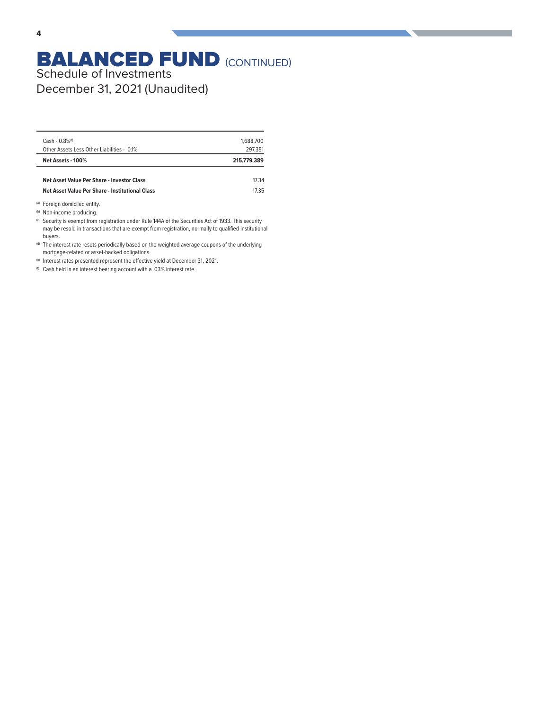### **BALANCED FUND (CONTINUED)** Schedule of Investments

December 31, 2021 (Unaudited)

| 1,688,700   |
|-------------|
| 297,351     |
| 215.779.389 |
| 17.34       |
| 17.35       |
|             |

<sup>(</sup>a) Foreign domiciled entity.

(c) Security is exempt from registration under Rule 144A of the Securities Act of 1933. This security may be resold in transactions that are exempt from registration, normally to qualified institutional buyers.

(d) The interest rate resets periodically based on the weighted average coupons of the underlying mortgage-related or asset-backed obligations.

(e) Interest rates presented represent the effective yield at December 31, 2021.

(f) Cash held in an interest bearing account with a .03% interest rate.

<sup>(</sup>b) Non-income producing.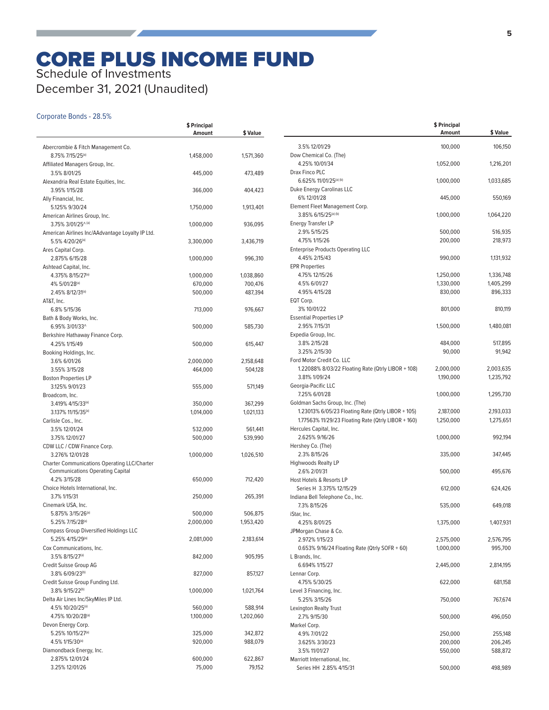### CORE PLUS INCOME FUND Schedule of Investments

December 31, 2021 (Unaudited)

### Corporate Bonds - 28.5%

|                                                                                 | \$ Principal<br>Amount | \$ Value  |
|---------------------------------------------------------------------------------|------------------------|-----------|
|                                                                                 |                        |           |
| Abercrombie & Fitch Management Co.<br>8.75% 7/15/25(a)                          |                        |           |
|                                                                                 | 1,458,000              | 1,571,360 |
| Affiliated Managers Group, Inc.<br>3.5% 8/01/25                                 | 445,000                | 473,489   |
| Alexandria Real Estate Equities, Inc.                                           |                        |           |
| 3.95% 1/15/28                                                                   |                        |           |
|                                                                                 | 366,000                | 404,423   |
| Ally Financial, Inc.                                                            |                        |           |
| 5.125% 9/30/24                                                                  | 1,750,000              | 1,913,401 |
| American Airlines Group, Inc.<br>3.75% 3/01/25^(a)                              |                        |           |
|                                                                                 | 1,000,000              | 936,095   |
| American Airlines Inc/AAdvantage Loyalty IP Ltd.<br>5.5% 4/20/26 <sup>(a)</sup> |                        |           |
|                                                                                 | 3,300,000              | 3,436,719 |
| Ares Capital Corp.                                                              |                        |           |
| 2.875% 6/15/28                                                                  | 1,000,000              | 996,310   |
| Ashtead Capital, Inc.                                                           |                        |           |
| 4.375% 8/15/27(a)                                                               | 1,000,000              | 1,038,860 |
| 4% 5/01/28(a)                                                                   | 670,000                | 700,476   |
| 2.45% 8/12/31(a)                                                                | 500,000                | 487,394   |
| AT&T, Inc.                                                                      |                        |           |
| 6.8% 5/15/36                                                                    | 713,000                | 976,667   |
| Bath & Body Works, Inc.                                                         |                        |           |
| 6.95% 3/01/33^                                                                  | 500,000                | 585,730   |
| Berkshire Hathaway Finance Corp.                                                |                        |           |
| 4.25% 1/15/49                                                                   | 500,000                | 615,447   |
| Booking Holdings, Inc.                                                          |                        |           |
| 3.6% 6/01/26                                                                    | 2,000,000              | 2,158,648 |
| 3.55% 3/15/28                                                                   | 464,000                | 504,128   |
| <b>Boston Properties LP</b>                                                     |                        |           |
| 3.125% 9/01/23                                                                  | 555,000                | 571,149   |
| Broadcom, Inc.                                                                  |                        |           |
| 3.419% 4/15/33(a)                                                               | 350,000                | 367,299   |
| 3.137% 11/15/35 <sup>(a)</sup>                                                  | 1,014,000              | 1,021,133 |
| Carlisle Cos., Inc.                                                             |                        |           |
| 3.5% 12/01/24                                                                   | 532,000                | 561,441   |
| 3.75% 12/01/27                                                                  | 500,000                | 539,990   |
| CDW LLC / CDW Finance Corp.                                                     |                        |           |
| 3.276% 12/01/28                                                                 | 1,000,000              | 1,026,510 |
| <b>Charter Communications Operating LLC/Charter</b>                             |                        |           |
| <b>Communications Operating Capital</b>                                         |                        |           |
| 4.2% 3/15/28                                                                    | 650,000                | 712,420   |
| Choice Hotels International, Inc.                                               |                        |           |
| 3.7% 1/15/31                                                                    | 250,000                | 265,391   |
| Cinemark USA, Inc.                                                              |                        |           |
| 5.875% 3/15/26(a)                                                               | 500,000                | 506,875   |
| 5.25% 7/15/28(a)                                                                | 2,000,000              | 1,953,420 |
| <b>Compass Group Diversified Holdings LLC</b>                                   |                        |           |
| 5.25% 4/15/29(a)                                                                | 2,081,000              | 2,183,614 |
| Cox Communications, Inc.                                                        |                        |           |
| 3.5% 8/15/27 <sup>(a)</sup>                                                     | 842,000                | 905,195   |
| Credit Suisse Group AG                                                          |                        |           |
| 3.8% 6/09/23 <sup>(b)</sup>                                                     | 827,000                | 857,127   |
| Credit Suisse Group Funding Ltd.                                                |                        |           |
| 3.8% 9/15/22 <sup>(b)</sup>                                                     | 1,000,000              |           |
|                                                                                 |                        | 1,021,764 |
| Delta Air Lines Inc/SkyMiles IP Ltd.                                            |                        |           |
| 4.5% 10/20/25(a)                                                                | 560,000                | 588,914   |
| 4.75% 10/20/28(a)                                                               | 1,100,000              | 1,202,060 |
| Devon Energy Corp.                                                              |                        |           |
| 5.25% 10/15/27(a)                                                               | 325,000                | 342,872   |
| 4.5% 1/15/30 <sup>(a)</sup>                                                     | 920,000                | 988,079   |
| Diamondback Energy, Inc.                                                        |                        |           |
| 2.875% 12/01/24                                                                 | 600,000                | 622,867   |
| 3.25% 12/01/26                                                                  | 75,000                 | 79,152    |
|                                                                                 |                        |           |

|                                                           | \$ Principal<br>Amount | \$ Value  |
|-----------------------------------------------------------|------------------------|-----------|
| 3.5% 12/01/29                                             | 100,000                | 106,150   |
| Dow Chemical Co. (The)<br>4.25% 10/01/34                  | 1,052,000              | 1,216,201 |
| Drax Finco PLC<br>6.625% 11/01/25 <sup>(a)</sup> (b)      | 1,000,000              | 1,033,685 |
| Duke Energy Carolinas LLC<br>6% 12/01/28                  | 445,000                | 550,169   |
| Element Fleet Management Corp.<br>3.85% 6/15/25(a) (b)    | 1,000,000              | 1,064,220 |
| Energy Transfer LP<br>2.9% 5/15/25                        | 500,000                | 516,935   |
| 4.75% 1/15/26                                             | 200,000                | 218,973   |
| <b>Enterprise Products Operating LLC</b><br>4.45% 2/15/43 | 990,000                | 1,131,932 |
| <b>EPR Properties</b>                                     |                        |           |
| 4.75% 12/15/26                                            | 1,250,000              | 1,336,748 |
| 4.5% 6/01/27                                              | 1,330,000              | 1,405,299 |
| 4.95% 4/15/28                                             | 830,000                | 896,333   |
| EQT Corp.                                                 |                        |           |
| 3% 10/01/22                                               | 801,000                | 810,119   |
| <b>Essential Properties LP</b><br>2.95% 7/15/31           | 1,500,000              | 1,480,081 |
| Expedia Group, Inc.                                       |                        |           |
| 3.8% 2/15/28                                              | 484,000                | 517,895   |
| 3.25% 2/15/30<br>Ford Motor Credit Co. LLC                | 90,000                 | 91,942    |
| 1.22088% 8/03/22 Floating Rate (Qtrly LIBOR + 108)        | 2,000,000              | 2,003,635 |
| 3.81% 1/09/24                                             | 1,190,000              | 1,235,792 |
| Georgia-Pacific LLC                                       |                        |           |
| 7.25% 6/01/28                                             | 1,000,000              | 1,295,730 |
| Goldman Sachs Group, Inc. (The)                           |                        |           |
| 1.23013% 6/05/23 Floating Rate (Qtrly LIBOR + 105)        | 2,187,000              | 2,193,033 |
| 1.77563% 11/29/23 Floating Rate (Qtrly LIBOR + 160)       | 1,250,000              | 1,275,651 |
| Hercules Capital, Inc.                                    |                        |           |
| 2.625% 9/16/26                                            | 1,000,000              | 992,194   |
| Hershey Co. (The)                                         |                        |           |
| 2.3% 8/15/26                                              | 335,000                | 347,445   |
| Highwoods Realty LP<br>2.6% 2/01/31                       | 500,000                | 495,676   |
| Host Hotels & Resorts LP                                  |                        |           |
| Series H 3.375% 12/15/29                                  | 612,000                | 624,426   |
| Indiana Bell Telephone Co., Inc.                          |                        |           |
| 7.3% 8/15/26                                              | 535,000                | 649,018   |
| iStar, Inc.<br>4.25% 8/01/25                              | 1,375,000              | 1,407,931 |
| JPMorgan Chase & Co.                                      |                        |           |
| 2.972% 1/15/23                                            | 2,575,000              | 2,576,795 |
| 0.653% 9/16/24 Floating Rate (Qtrly SOFR + 60)            | 1,000,000              | 995,700   |
| L Brands, Inc.<br>6.694% 1/15/27                          | 2,445,000              | 2,814,195 |
| Lennar Corp.                                              |                        |           |
| 4.75% 5/30/25                                             | 622,000                | 681,158   |
| Level 3 Financing, Inc.<br>5.25% 3/15/26                  | 750,000                | 767,674   |
| Lexington Realty Trust                                    |                        |           |
| 2.7% 9/15/30                                              | 500,000                | 496,050   |
| Markel Corp.                                              |                        |           |
| 4.9% 7/01/22                                              | 250,000                | 255,148   |
| 3.625% 3/30/23                                            | 200,000                | 206,245   |
| 3.5% 11/01/27                                             | 550,000                | 588,872   |
| Marriott International, Inc.                              |                        |           |
| Series HH 2.85% 4/15/31                                   | 500.000                | 498.989   |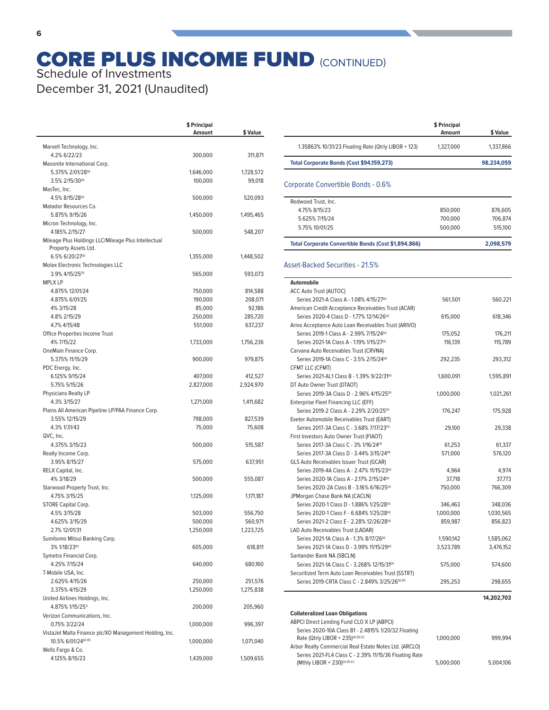### **CORE PLUS INCOME FUND (CONTINUED)** Schedule of Investments

December 31, 2021 (Unaudited)

|                                                                       | \$ Principal<br>Amount | \$ Value  |
|-----------------------------------------------------------------------|------------------------|-----------|
| Marvell Technology, Inc.                                              |                        |           |
| 4.2% 6/22/23                                                          | 300,000                | 311,871   |
| Masonite International Corp.                                          |                        |           |
| 5.375% 2/01/28(a)                                                     | 1,646,000              | 1,728,572 |
| 3.5% 2/15/30 <sup>(a)</sup>                                           | 100,000                | 99,018    |
| MasTec, Inc.                                                          |                        |           |
| 4.5% 8/15/28(a)                                                       | 500,000                | 520,093   |
| Matador Resources Co.                                                 |                        |           |
| 5.875% 9/15/26                                                        | 1,450,000              | 1,495,465 |
| Micron Technology, Inc.                                               |                        |           |
| 4.185% 2/15/27<br>Mileage Plus Holdings LLC/Mileage Plus Intellectual | 500,000                | 548,207   |
| Property Assets Ltd.                                                  |                        |           |
| 6.5% 6/20/27(a)                                                       | 1,355,000              | 1,448,502 |
| Molex Electronic Technologies LLC                                     |                        |           |
| 3.9% 4/15/25 <sup>(a)</sup>                                           | 565,000                | 593,073   |
| <b>MPLX LP</b>                                                        |                        |           |
| 4.875% 12/01/24                                                       | 750,000                | 814,588   |
| 4.875% 6/01/25                                                        | 190,000                | 208,071   |
| 4% 3/15/28                                                            | 85,000                 | 92,186    |
| 4.8% 2/15/29                                                          | 250,000                | 285,720   |
| 4.7% 4/15/48                                                          | 551,000                | 637,237   |
| Office Properties Income Trust                                        |                        |           |
| 4% 7/15/22                                                            | 1,733,000              | 1,756,236 |
| OneMain Finance Corp.<br>5.375% 11/15/29                              |                        |           |
| PDC Energy, Inc.                                                      | 900,000                | 979,875   |
| 6.125% 9/15/24                                                        | 407,000                | 412,527   |
| 5.75% 5/15/26                                                         | 2,827,000              | 2,924,970 |
| Physicians Realty LP                                                  |                        |           |
| 4.3% 3/15/27                                                          | 1,271,000              | 1,411,682 |
| Plains All American Pipeline LP/PAA Finance Corp.                     |                        |           |
| 3.55% 12/15/29                                                        | 798,000                | 827,539   |
| 4.3% 1/31/43                                                          | 75,000                 | 75,608    |
| QVC, Inc.                                                             |                        |           |
| 4.375% 3/15/23                                                        | 500,000                | 515,587   |
| Realty Income Corp.                                                   |                        |           |
| 3.95% 8/15/27                                                         | 575,000                | 637,951   |
| RELX Capital, Inc.                                                    |                        |           |
| 4% 3/18/29                                                            | 500,000                | 555,087   |
| Starwood Property Trust, Inc.                                         |                        |           |
| 4.75% 3/15/25<br><b>STORE Capital Corp.</b>                           | 1,125,000              | 1,171,187 |
| 4.5% 3/15/28                                                          | 503,000                | 556,750   |
| 4.625% 3/15/29                                                        | 500,000                | 560,971   |
| 2.7% 12/01/31                                                         | 1,250,000              | 1,223,725 |
| Sumitomo Mitsui Banking Corp.                                         |                        |           |
| 3% 1/18/23 <sup>(b)</sup>                                             | 605,000                | 618,811   |
| Symetra Financial Corp.                                               |                        |           |
| 4.25% 7/15/24                                                         | 640,000                | 680,160   |
| T-Mobile USA, Inc.                                                    |                        |           |
| 2.625% 4/15/26                                                        | 250,000                | 251,576   |
| 3.375% 4/15/29                                                        | 1,250,000              | 1,275,838 |
| United Airlines Holdings, Inc.                                        |                        |           |
| 4.875% 1/15/25^                                                       | 200,000                | 205,960   |
| Verizon Communications, Inc.                                          |                        |           |
| 0.75% 3/22/24                                                         | 1,000,000              | 996,397   |
| VistaJet Malta Finance plc/XO Management Holding, Inc.                |                        |           |
| 10.5% 6/01/24(a) (b)                                                  | 1,000,000              | 1,071,040 |
| Wells Fargo & Co.                                                     |                        |           |
| 4.125% 8/15/23                                                        | 1,439,000              | 1,509,655 |

|                                                                                                                 | \$ Principal<br>Amount | \$ Value           |
|-----------------------------------------------------------------------------------------------------------------|------------------------|--------------------|
| 1.35863% 10/31/23 Floating Rate (Qtrly LIBOR + 123)                                                             | 1,327,000              | 1,337,866          |
| Total Corporate Bonds (Cost \$94,159,273)                                                                       |                        | 98,234,059         |
| <b>Corporate Convertible Bonds - 0.6%</b>                                                                       |                        |                    |
| Redwood Trust, Inc.                                                                                             |                        |                    |
| 4.75% 8/15/23                                                                                                   | 850,000                | 876,605            |
| 5.625% 7/15/24                                                                                                  | 700,000                | 706,874            |
| 5.75% 10/01/25                                                                                                  | 500,000                | 515,100            |
| <b>Total Corporate Convertible Bonds (Cost \$1,894,866)</b>                                                     |                        | 2,098,579          |
| Asset-Backed Securities - 21.5%                                                                                 |                        |                    |
| Automobile                                                                                                      |                        |                    |
| ACC Auto Trust (AUTOC)<br>Series 2021-A Class A - 1.08% 4/15/27 <sup>(a)</sup>                                  | 561,501                | 560,221            |
| American Credit Acceptance Receivables Trust (ACAR)<br>Series 2020-4 Class D - 1.77% 12/14/26(a)                | 615,000                | 618,346            |
| Arivo Acceptance Auto Loan Receivables Trust (ARIVO)                                                            |                        |                    |
| Series 2019-1 Class A - 2.99% 7/15/24(a)<br>Series 2021-1A Class A - 1.19% 1/15/27 <sup>(a)</sup>               | 175,052<br>116,139     | 176,211<br>115,789 |
| Carvana Auto Receivables Trust (CRVNA)                                                                          |                        |                    |
| Series 2019-1A Class C - 3.5% 2/15/24(a)                                                                        | 292,235                | 293,312            |
| CFMT LLC (CFMT)<br>Series 2021-AL1 Class B - 1.39% 9/22/31(a)                                                   | 1,600,091              | 1,595,891          |
| DT Auto Owner Trust (DTAOT)<br>Series 2019-3A Class D - 2.96% 4/15/25(a)                                        | 1,000,000              | 1,021,261          |
| Enterprise Fleet Financing LLC (EFF)                                                                            |                        |                    |
| Series 2019-2 Class A - 2.29% 2/20/25 <sup>(a)</sup>                                                            | 176,247                | 175,928            |
| Exeter Automobile Receivables Trust (EART)                                                                      |                        |                    |
| Series 2017-3A Class C - 3.68% 7/17/23 <sup>(a)</sup>                                                           | 29,100                 | 29,338             |
| First Investors Auto Owner Trust (FIAOT)                                                                        |                        |                    |
| Series 2017-3A Class C - 3% 1/16/24(a)                                                                          | 61,253                 | 61,337             |
| Series 2017-3A Class D - 3.44% 3/15/24(a)                                                                       | 571,000                | 576,120            |
| GLS Auto Receivables Issuer Trust (GCAR)                                                                        |                        |                    |
| Series 2019-4A Class A - 2.47% 11/15/23 <sup>(a)</sup><br>Series 2020-1A Class A - 2.17% 2/15/24 <sup>(a)</sup> | 4,964<br>37,718        | 4,974<br>37,773    |
| Series 2020-2A Class B - 3.16% 6/16/25 <sup>(a)</sup>                                                           | 750,000                | 766,309            |
| JPMorgan Chase Bank NA (CACLN)                                                                                  |                        |                    |
| Series 2020-1 Class D - 1.886% 1/25/28(a)                                                                       | 346,463                | 348,036            |
| Series 2020-1 Class F - 6.684% 1/25/28(a)                                                                       | 1,000,000              | 1,030,565          |
| Series 2021-2 Class E - 2.28% 12/26/28(a)                                                                       | 859,987                | 856,823            |
| LAD Auto Receivables Trust (LADAR)                                                                              |                        |                    |
| Series 2021-1A Class A - 1.3% 8/17/26(a)                                                                        | 1,590,142              | 1,585,062          |
| Series 2021-1A Class D - 3.99% 11/15/29 <sup>(a)</sup>                                                          | 3,523,789              | 3,476,152          |
| Santander Bank NA (SBCLN)<br>Series 2021-1A Class C - 3.268% 12/15/31(a)                                        | 575,000                | 574,600            |
| Securitized Term Auto Loan Receivables Trust (SSTRT)                                                            |                        |                    |
| Series 2019-CRTA Class C - 2.849% 3/25/26 <sup>(a) (b)</sup>                                                    | 295,253                | 298,655            |
|                                                                                                                 |                        | 14,202,703         |
| <b>Collateralized Loan Obligations</b>                                                                          |                        |                    |
| ABPCI Direct Lending Fund CLO X LP (ABPCI)                                                                      |                        |                    |
| Series 2020-10A Class B1 - 2.4815% 1/20/32 Floating<br>Rate (Qtrly LIBOR + 235)(a) (b) (c)                      | 1,000,000              | 999,994            |
| Arbor Realty Commercial Real Estate Notes Ltd. (ARCLO)                                                          |                        |                    |

Series 2021-FL4 Class C - 2.39% 11/15/36 Floating Rate

 $(Mthly LIBOR + 230)^{(a) (b) (c)}$  5,000,000 5,004,106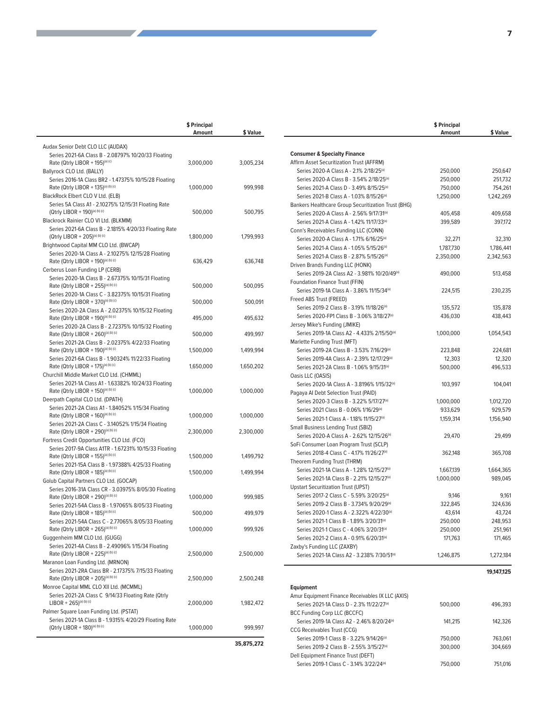|                                                                                                                                                   | \$ Principal<br>Amount | \$ Value  |
|---------------------------------------------------------------------------------------------------------------------------------------------------|------------------------|-----------|
| Audax Senior Debt CLO LLC (AUDAX)                                                                                                                 |                        |           |
| Series 2021-6A Class B - 2.08797% 10/20/33 Floating<br>Rate (Qtrly LIBOR + 195) <sup>(a) (c)</sup>                                                | 3,000,000              | 3,005,234 |
| Ballyrock CLO Ltd. (BALLY)                                                                                                                        |                        |           |
| Series 2016-1A Class BR2 - 1.47375% 10/15/28 Floating<br>Rate (Qtrly LIBOR + 135)(a) (b) (c)                                                      | 1,000,000              | 999,998   |
| BlackRock Elbert CLO V Ltd. (ELB)                                                                                                                 |                        |           |
| Series 5A Class A1 - 2.10275% 12/15/31 Floating Rate<br>(Qtrly LIBOR + 190)(a) (b) (c)<br>Blackrock Rainier CLO VI Ltd. (BLKMM)                   | 500,000                | 500,795   |
| Series 2021-6A Class B - 2.1815% 4/20/33 Floating Rate<br>(Qtrly LIBOR + 205)(a) (b) (c)                                                          | 1,800,000              | 1,799,993 |
| Brightwood Capital MM CLO Ltd. (BWCAP)<br>Series 2020-1A Class A - 2.10275% 12/15/28 Floating<br>Rate (Qtrly LIBOR + 190)(a) (b) (c)              | 636,429                | 636,748   |
| Cerberus Loan Funding LP (CERB)                                                                                                                   |                        |           |
| Series 2020-1A Class B - 2.67375% 10/15/31 Floating<br>Rate (Qtrly LIBOR + 255)(a) (b) (c)                                                        | 500,000                | 500,095   |
| Series 2020-1A Class C - 3.82375% 10/15/31 Floating<br>Rate (Qtrly LIBOR + 370)(a) (b) (c)                                                        | 500,000                | 500,091   |
| Series 2020-2A Class A - 2.02375% 10/15/32 Floating<br>Rate (Qtrly LIBOR + 190)(a) (b) (c)<br>Series 2020-2A Class B - 2.72375% 10/15/32 Floating | 495,000                | 495,632   |
| Rate (Qtrly LIBOR + 260)(a) (b) (c)<br>Series 2021-2A Class B - 2.02375% 4/22/33 Floating                                                         | 500,000                | 499,997   |
| Rate (Qtrly LIBOR + 190)(a) (b) (c)<br>Series 2021-6A Class B - 1.90324% 11/22/33 Floating                                                        | 1,500,000              | 1,499,994 |
| Rate (Qtrly LIBOR + 175)(a) (b) (c)<br>Churchill Middle Market CLO Ltd. (CHMML)                                                                   | 1,650,000              | 1,650,202 |
| Series 2021-1A Class A1 - 1.63382% 10/24/33 Floating<br>Rate (Qtrly LIBOR + 150)(a) (b) (c)<br>Deerpath Capital CLO Ltd. (DPATH)                  | 1,000,000              | 1,000,000 |
| Series 2021-2A Class A1 - 1.84052% 1/15/34 Floating<br>Rate (Qtrly LIBOR + 160)(a) (b) (c)                                                        | 1,000,000              | 1,000,000 |
| Series 2021-2A Class C - 3.14052% 1/15/34 Floating<br>Rate (Qtrly LIBOR + 290)(a) (b) (c)                                                         | 2,300,000              | 2,300,000 |
| Fortress Credit Opportunities CLO Ltd. (FCO)                                                                                                      |                        |           |
| Series 2017-9A Class A1TR - 1.67231% 10/15/33 Floating<br>Rate (Qtrly LIBOR + 155)(a) (b) (c)                                                     | 1,500,000              | 1,499,792 |
| Series 2021-15A Class B - 1.97388% 4/25/33 Floating<br>Rate (Qtrly LIBOR + 185)(a) (b) (c)<br>Golub Capital Partners CLO Ltd. (GOCAP)             | 1,500,000              | 1,499,994 |
| Series 2016-31A Class CR - 3.03975% 8/05/30 Floating<br>Rate (Qtrly LIBOR + 290)(a) (b) (c)                                                       | 1,000,000              | 999,985   |
| Series 2021-54A Class B - 1.97065% 8/05/33 Floating<br>Rate (Qtrly LIBOR + 185)(a) (b) (c)                                                        | 500,000                | 499,979   |
| Series 2021-54A Class C - 2.77065% 8/05/33 Floating<br>Rate (Qtrly LIBOR + 265)(a) (b) (c)<br>Guggenheim MM CLO Ltd. (GUGG)                       | 1,000,000              | 999,926   |
| Series 2021-4A Class B - 2.49096% 1/15/34 Floating<br>Rate (Qtrly LIBOR + 225)(a) (b) (c)                                                         | 2,500,000              | 2,500,000 |
| Maranon Loan Funding Ltd. (MRNON)                                                                                                                 |                        |           |
| Series 2021-2RA Class BR - 2.17375% 7/15/33 Floating<br>Rate (Qtrly LIBOR + 205)(a) (b) (c)                                                       | 2,500,000              | 2,500,248 |
| Monroe Capital MML CLO XII Ltd. (MCMML)<br>Series 2021-2A Class C 9/14/33 Floating Rate (Qtrly                                                    |                        |           |
| $LIBOR + 265)^{(a) (b) (c)}$                                                                                                                      | 2,000,000              | 1,982,472 |
| Palmer Square Loan Funding Ltd. (PSTAT)<br>Series 2021-1A Class B - 1.9315% 4/20/29 Floating Rate<br>(Qtrly LIBOR + 180)(a) (b) (c)               | 1,000,000              | 999,997   |
|                                                                                                                                                   |                        |           |

77

П

|                                                                           | \$ Principal<br>Amount | \$ Value   |
|---------------------------------------------------------------------------|------------------------|------------|
|                                                                           |                        |            |
| <b>Consumer &amp; Specialty Finance</b>                                   |                        |            |
| Affirm Asset Securitization Trust (AFFRM)                                 |                        |            |
| Series 2020-A Class A - 2.1% 2/18/25(a)                                   | 250,000                | 250,647    |
| Series 2020-A Class B - 3.54% 2/18/25 <sup>(a)</sup>                      | 250,000                | 251,732    |
| Series 2021-A Class D - 3.49% 8/15/25 <sup>(a)</sup>                      | 750,000                | 754,261    |
| Series 2021-B Class A - 1.03% 8/15/26 <sup>(a)</sup>                      | 1,250,000              | 1,242,269  |
| Bankers Healthcare Group Securitization Trust (BHG)                       |                        |            |
| Series 2020-A Class A - 2.56% 9/17/31(a)                                  | 405,458                | 409,658    |
| Series 2021-A Class A - 1.42% 11/17/33(a)                                 | 399,589                | 397,172    |
| Conn's Receivables Funding LLC (CONN)                                     |                        |            |
| Series 2020-A Class A - 1.71% 6/16/25(a)                                  | 32,271                 | 32,310     |
| Series 2021-A Class A - 1.05% 5/15/26(a)                                  | 1,787,730              | 1,786,441  |
| Series 2021-A Class B - 2.87% 5/15/26 <sup>(a)</sup>                      | 2,350,000              | 2,342,563  |
| Driven Brands Funding LLC (HONK)                                          |                        |            |
| Series 2019-2A Class A2 - 3.981% 10/20/49 <sup>(a)</sup>                  | 490,000                | 513,458    |
| Foundation Finance Trust (FFIN)                                           |                        |            |
| Series 2019-1A Class A - 3.86% 11/15/34(a)                                | 224,515                | 230,235    |
| Freed ABS Trust (FREED)                                                   |                        |            |
| Series 2019-2 Class B - 3.19% 11/18/26(a)                                 | 135,572                | 135,878    |
| Series 2020-FP1 Class B - 3.06% 3/18/27 <sup>(a)</sup>                    | 436,030                | 438,443    |
| Jersey Mike's Funding (JMIKE)                                             |                        |            |
| Series 2019-1A Class A2 - 4.433% 2/15/50(a)                               | 1,000,000              | 1,054,543  |
| Marlette Funding Trust (MFT)<br>Series 2019-2A Class B - 3.53% 7/16/29(a) |                        | 224,681    |
| Series 2019-4A Class A - 2.39% 12/17/29(a)                                | 223,848<br>12,303      | 12,320     |
| Series 2021-2A Class B - 1.06% 9/15/31(a)                                 | 500.000                | 496,533    |
| Oasis LLC (OASIS)                                                         |                        |            |
| Series 2020-1A Class A - 3.8196% 1/15/32(a)                               | 103,997                | 104,041    |
| Pagaya Al Debt Selection Trust (PAID)                                     |                        |            |
| Series 2020-3 Class B - 3.22% 5/17/27(a)                                  | 1,000,000              | 1,012,720  |
| Series 2021 Class B - 0.06% 1/16/29(a)                                    | 933,629                | 929,579    |
| Series 2021-1 Class A - 1.18% 11/15/27 <sup>(a)</sup>                     | 1,159,314              | 1,156,940  |
| Small Business Lending Trust (SBIZ)                                       |                        |            |
| Series 2020-A Class A - 2.62% 12/15/26 <sup>(a)</sup>                     | 29,470                 | 29,499     |
| SoFi Consumer Loan Program Trust (SCLP)                                   |                        |            |
| Series 2018-4 Class C - 4.17% 11/26/27(a)                                 | 362,148                | 365,708    |
| Theorem Funding Trust (THRM)                                              |                        |            |
| Series 2021-1A Class A - 1.28% 12/15/27(a)                                | 1,667,139              | 1,664,365  |
| Series 2021-1A Class B - 2.21% 12/15/27 <sup>(a)</sup>                    | 1,000,000              | 989,045    |
| <b>Upstart Securitization Trust (UPST)</b>                                |                        |            |
| Series 2017-2 Class C - 5.59% 3/20/25 <sup>(a)</sup>                      | 9,146                  | 9,161      |
| Series 2019-2 Class B - 3.734% 9/20/29 <sup>(a)</sup>                     | 322,845                | 324,636    |
| Series 2020-1 Class A - 2.322% 4/22/30 <sup>(a)</sup>                     | 43.614                 | 43.724     |
| Series 2021-1 Class B - 1.89% 3/20/31(a)                                  | 250,000                | 248,953    |
| Series 2021-1 Class C - 4.06% 3/20/31 <sup>(a)</sup>                      | 250,000                | 251,961    |
| Series 2021-2 Class A - 0.91% 6/20/31 <sup>(a)</sup>                      | 171,763                | 171,465    |
| Zaxby's Funding LLC (ZAXBY)                                               |                        |            |
| Series 2021-1A Class A2 - 3.238% 7/30/51(a)                               | 1,246,875              | 1,272,184  |
|                                                                           |                        | 19,147,125 |
|                                                                           |                        |            |
| <b>Equipment</b>                                                          |                        |            |
| Amur Equipment Finance Receivables IX LLC (AXIS)                          |                        |            |
| Series 2021-1A Class D - 2.3% 11/22/27(a)                                 | 500,000                | 496,393    |
| BCC Funding Corp LLC (BCCFC)                                              |                        |            |
| Series 2019-1A Class A2 - 2.46% 8/20/24(a)                                | 141,215                | 142,326    |
| CCG Receivables Trust (CCG)                                               |                        |            |
| Series 2019-1 Class B - 3.22% 9/14/26 <sup>(a)</sup>                      | 750,000                | 763,061    |
| Series 2019-2 Class B - 2.55% 3/15/27(a)                                  | 300,000                | 304,669    |
| Dell Equipment Finance Trust (DEFT)                                       |                        |            |
| Series 2019-1 Class C - 3.14% 3/22/24(a)                                  | 750,000                | 751,016    |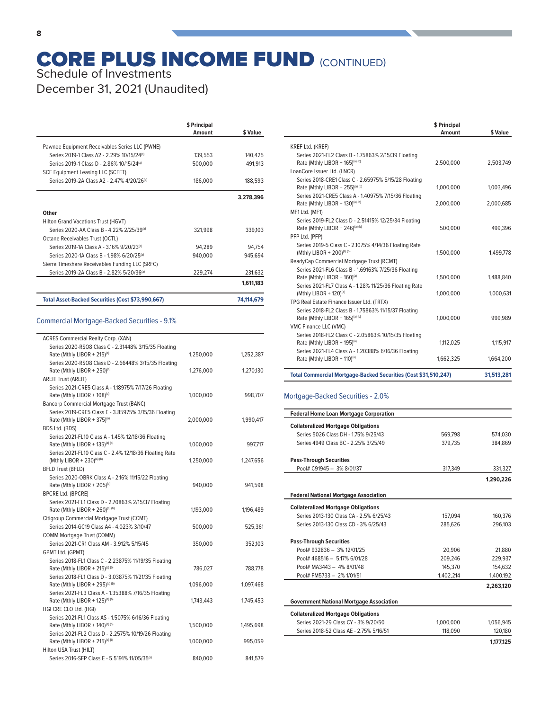### **CORE PLUS INCOME FUND (CONTINUED)** Schedule of Investments

December 31, 2021 (Unaudited)

|                                                        | \$ Principal<br>Amount | \$ Value   |
|--------------------------------------------------------|------------------------|------------|
|                                                        |                        |            |
| Pawnee Equipment Receivables Series LLC (PWNE)         |                        |            |
| Series 2019-1 Class A2 - 2 29% 10/15/24 <sup>(a)</sup> | 139,553                | 140,425    |
| Series 2019-1 Class D - 2.86% 10/15/24(a)              | 500,000                | 491,913    |
| SCF Equipment Leasing LLC (SCFET)                      |                        |            |
| Series 2019-2A Class A2 - 2.47% 4/20/26 <sup>(a)</sup> | 186,000                | 188,593    |
|                                                        |                        | 3,278,396  |
| Other                                                  |                        |            |
| Hilton Grand Vacations Trust (HGVT)                    |                        |            |
| Series 2020-AA Class B - 4.22% 2/25/39(a)              | 321,998                | 339,103    |
| Octane Receivables Trust (OCTL)                        |                        |            |
| Series 2019-14 Class A - 316% 9/20/23(a)               | 94.289                 | 94,754     |
| Series 2020-1A Class B - 1.98% 6/20/25 <sup>(a)</sup>  | 940,000                | 945.694    |
| Sierra Timeshare Receivables Funding LLC (SRFC)        |                        |            |
| Series 2019-2A Class B - 2.82% 5/20/36 <sup>(a)</sup>  | 229,274                | 231,632    |
|                                                        |                        | 1,611,183  |
| Total Asset-Backed Securities (Cost \$73,990,667)      |                        | 74,114,679 |

### Commercial Mortgage-Backed Securities - 9.1%

| <b>ACRES Commercial Realty Corp. (XAN)</b>                                             |           |           |
|----------------------------------------------------------------------------------------|-----------|-----------|
| Series 2020-RSO8 Class C - 2.31448% 3/15/35 Floating                                   |           |           |
| Rate (Mthly LIBOR + 215) <sup>(a)</sup>                                                | 1,250,000 | 1,252,387 |
| Series 2020-RSO8 Class D - 2.66448% 3/15/35 Floating                                   |           |           |
| Rate (Mthly LIBOR + 250)(a)                                                            | 1,276,000 | 1,270,130 |
| <b>AREIT Trust (AREIT)</b>                                                             |           |           |
| Series 2021-CRE5 Class A - 1.18975% 7/17/26 Floating<br>Rate (Mthly LIBOR + 108)(a)    | 1,000,000 | 998,707   |
| Bancorp Commercial Mortgage Trust (BANC)                                               |           |           |
| Series 2019-CRE5 Class E - 3.85975% 3/15/36 Floating                                   |           |           |
| Rate (Mthly LIBOR + 375)(a)                                                            | 2,000,000 | 1,990,417 |
| BDS Ltd. (BDS)                                                                         |           |           |
| Series 2021-FL10 Class A - 1.45% 12/18/36 Floating                                     |           |           |
| Rate (Mthly LIBOR + 135)(a) (b)                                                        | 1,000,000 | 997,717   |
| Series 2021-FL10 Class C - 2.4% 12/18/36 Floating Rate                                 |           |           |
| (Mthly LIBOR + 230)(a) (b)                                                             | 1,250,000 | 1,247,656 |
| <b>BFLD Trust (BFLD)</b>                                                               |           |           |
| Series 2020-OBRK Class A - 2.16% 11/15/22 Floating                                     |           |           |
| Rate (Mthly LIBOR + 205)(a)                                                            | 940,000   | 941,598   |
| <b>BPCRE Ltd. (BPCRE)</b>                                                              |           |           |
| Series 2021-FL1 Class D - 2.70863% 2/15/37 Floating<br>Rate (Mthly LIBOR + 260)(a) (b) | 1,193,000 | 1,196,489 |
| Citigroup Commercial Mortgage Trust (CCMT)                                             |           |           |
| Series 2014-GC19 Class A4 - 4.023% 3/10/47                                             | 500,000   | 525,361   |
| COMM Mortgage Trust (COMM)                                                             |           |           |
| Series 2021-CR1 Class AM - 3.912% 5/15/45                                              | 350,000   | 352,103   |
| GPMT Ltd. (GPMT)                                                                       |           |           |
| Series 2018-FL1 Class C - 2.23875% 11/19/35 Floating                                   |           |           |
| Rate (Mthly LIBOR + 215)(a) (b)                                                        | 786,027   | 788,778   |
| Series 2018-FL1 Class D - 3.03875% 11/21/35 Floating                                   |           |           |
| Rate (Mthly LIBOR + 295)(a) (b)                                                        | 1,096,000 | 1,097,468 |
| Series 2021-FL3 Class A - 1.35388% 7/16/35 Floating                                    |           |           |
| Rate (Mthly LIBOR + 125)(a) (b)                                                        | 1,743,443 | 1,745,453 |
| HGI CRE CLO Ltd. (HGI)                                                                 |           |           |
| Series 2021-FL1 Class AS - 1.5075% 6/16/36 Floating<br>Rate (Mthly LIBOR + 140)(a) (b) | 1,500,000 | 1,495,698 |
| Series 2021-FL2 Class D - 2.2575% 10/19/26 Floating                                    |           |           |
| Rate (Mthly LIBOR + 215)(a) (b)                                                        | 1,000,000 | 995,059   |
| Hilton USA Trust (HILT)                                                                |           |           |
| Series 2016-SFP Class E - 5.5191% 11/05/35 <sup>(a)</sup>                              | 840,000   | 841,579   |
|                                                                                        |           |           |

|                                                                                                                       | \$ Principal<br>Amount | \$ Value   |
|-----------------------------------------------------------------------------------------------------------------------|------------------------|------------|
| <b>KREF Ltd. (KREF)</b>                                                                                               |                        |            |
| Series 2021-FL2 Class B - 1.75863% 2/15/39 Floating<br>Rate (Mthly LIBOR + 165)(a) (b)<br>LoanCore Issuer Ltd. (LNCR) | 2.500.000              | 2.503.749  |
| Series 2018-CRE1 Class C - 2.65975% 5/15/28 Floating<br>Rate (Mthly LIBOR + 255)(a) (b)                               | 1,000,000              | 1,003,496  |
| Series 2021-CRE5 Class A - 1.40975% 7/15/36 Floating<br>Rate (Mthly LIBOR + 130)(a) (b)<br>MF1 Ltd. (MF1)             | 2,000,000              | 2,000,685  |
| Series 2019-FL2 Class D - 2.51415% 12/25/34 Floating<br>Rate (Mthly LIBOR + 246)(a) (b)<br>PFP Ltd. (PFP)             | 500,000                | 499,396    |
| Series 2019-5 Class C - 2.1075% 4/14/36 Floating Rate<br>(Mthly LIBOR + 200)(a) (b)                                   | 1,500,000              | 1,499,778  |
| ReadyCap Commercial Mortgage Trust (RCMT)                                                                             |                        |            |
| Series 2021-FL6 Class B - 1.69163% 7/25/36 Floating<br>Rate (Mthly LIBOR + 160)(a)                                    | 1,500,000              | 1,488,840  |
| Series 2021-FL7 Class A - 1.28% 11/25/36 Floating Rate<br>(Mthly LIBOR + 120)(a)                                      | 1,000,000              | 1,000,631  |
| TPG Real Estate Finance Issuer Ltd. (TRTX)                                                                            |                        |            |
| Series 2018-FL2 Class B - 1.75863% 11/15/37 Floating<br>Rate (Mthly LIBOR + 165)(a) (b)                               | 1.000.000              | 999.989    |
| VMC Finance LLC (VMC)                                                                                                 |                        |            |
| Series 2018-FL2 Class C - 2.05863% 10/15/35 Floating<br>Rate (Mthly LIBOR + 195) <sup>(a)</sup>                       | 1,112,025              | 1,115,917  |
| Series 2021-FL4 Class A - 1.20388% 6/16/36 Floating<br>Rate (Mthly LIBOR + 110)(a)                                    | 1,662,325              | 1,664,200  |
| Total Commercial Mortgage-Backed Securities (Cost \$31,510,247)                                                       |                        | 31,513,281 |

### Mortgage-Backed Securities - 2.0%

| <b>Federal Home Loan Mortgage Corporation</b>   |           |           |
|-------------------------------------------------|-----------|-----------|
| <b>Collateralized Mortgage Obligations</b>      |           |           |
| Series 5026 Class DH - 175% 9/25/43             | 569.798   | 574,030   |
| Series 4949 Class BC - 2.25% 3/25/49            | 379.735   | 384.869   |
| <b>Pass-Through Securities</b>                  |           |           |
| Pool# C91945 - 3% 8/01/37                       | 317,349   | 331,327   |
|                                                 |           | 1,290,226 |
|                                                 |           |           |
| <b>Federal National Mortgage Association</b>    |           |           |
| <b>Collateralized Mortgage Obligations</b>      |           |           |
| Series 2013-130 Class CA - 2.5% 6/25/43         | 157,094   | 160.376   |
| Series 2013-130 Class CD - 3% 6/25/43           | 285.626   | 296.103   |
| <b>Pass-Through Securities</b>                  |           |           |
| Pool# 932836 - 3% 12/01/25                      | 20,906    | 21.880    |
| Pool# 468516 - 5.17% 6/01/28                    | 209.246   | 229.937   |
| Pool# MA3443 - 4% 8/01/48                       | 145,370   | 154.632   |
| Pool# FM5733 - 2% 1/01/51                       | 1,402,214 | 1.400.192 |
|                                                 |           | 2.263.120 |
| <b>Government National Mortgage Association</b> |           |           |
| <b>Collateralized Mortgage Obligations</b>      |           |           |
| Series 2021-29 Class CY - 3% 9/20/50            | 1,000,000 | 1,056,945 |
| Series 2018-52 Class AE - 2.75% 5/16/51         | 118,090   | 120,180   |
|                                                 |           | 1.177.125 |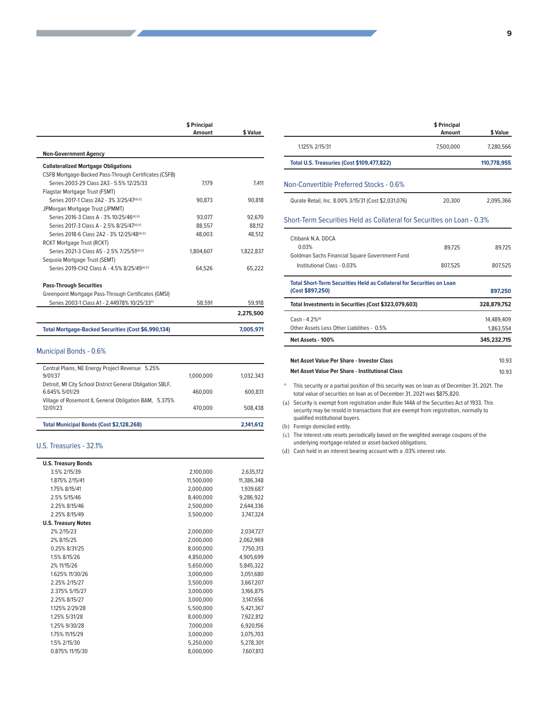|                                                            | \$ Principal<br>Amount | \$ Value  |
|------------------------------------------------------------|------------------------|-----------|
|                                                            |                        |           |
| <b>Non-Government Agency</b>                               |                        |           |
| <b>Collateralized Mortgage Obligations</b>                 |                        |           |
| CSFB Mortgage-Backed Pass-Through Certificates (CSFB)      |                        |           |
| Series 2003-29 Class 243 - 5 5% 12/25/33                   | 7.179                  | 7,411     |
| Flagstar Mortgage Trust (FSMT)                             |                        |           |
| Series 2017-1 Class 2A2 - 3% 3/25/47(a) (c)                | 90.873                 | 90.818    |
| JPMorgan Mortgage Trust (JPMMT)                            |                        |           |
| Series 2016-3 Class A - 3% 10/25/46 <sup>(a) (c)</sup>     | 93.077                 | 92.670    |
| Series 2017-3 Class A - 2.5% 8/25/47(a) (c)                | 88.557                 | 88,112    |
| Series 2018-6 Class 2A2 - 3% 12/25/48 <sup>(a) (c)</sup>   | 48.003                 | 48.512    |
| <b>RCKT Mortgage Trust (RCKT)</b>                          |                        |           |
| Series 2021-3 Class A5 - 2.5% 7/25/51(a) (c)               | 1.804.607              | 1,822,837 |
| Seguoia Mortgage Trust (SEMT)                              |                        |           |
| Series 2019-CH2 Class A - 4.5% 8/25/49(a) (c)              | 64.526                 | 65.222    |
| <b>Pass-Through Securities</b>                             |                        |           |
| Greenpoint Mortgage Pass-Through Certificates (GMSI)       |                        |           |
| Series 2003-1 Class A1 - 2.44978% 10/25/33(c)              | 58,591                 | 59,918    |
|                                                            |                        | 2,275,500 |
| <b>Total Mortgage-Backed Securities (Cost \$6,990,134)</b> |                        | 7,005,971 |

### Municipal Bonds - 0.6%

| Total Municipal Bonds (Cost \$2,128,268)                                    |           | 2.141.612 |
|-----------------------------------------------------------------------------|-----------|-----------|
| Village of Rosemont IL General Obligation BAM, 5.375%<br>12/01/23           | 470,000   | 508,438   |
| Detroit, MI City School District General Obligation SBLF,<br>6.645% 5/01/29 | 460,000   | 600.831   |
| Central Plains, NE Energy Project Revenue 5.25%<br>9/01/37                  | 1.000.000 | 1.032.343 |

### U.S. Treasuries - 32.1%

**a**

| <b>U.S. Treasury Bonds</b> |            |            |
|----------------------------|------------|------------|
| 3.5% 2/15/39               | 2,100,000  | 2,635,172  |
| 1.875% 2/15/41             | 11,500,000 | 11,386,348 |
| 1.75% 8/15/41              | 2,000,000  | 1,939,687  |
| 2.5% 5/15/46               | 8,400,000  | 9,286,922  |
| 2.25% 8/15/46              | 2,500,000  | 2,644,336  |
| 2.25% 8/15/49              | 3,500,000  | 3,747,324  |
| <b>U.S. Treasury Notes</b> |            |            |
| 2% 2/15/23                 | 2,000,000  | 2,034,727  |
| 2% 8/15/25                 | 2,000,000  | 2,062,969  |
| 0.25% 8/31/25              | 8,000,000  | 7,750,313  |
| 1.5% 8/15/26               | 4,850,000  | 4,905,699  |
| 2% 11/15/26                | 5,650,000  | 5,845,322  |
| 1.625% 11/30/26            | 3,000,000  | 3,051,680  |
| 2.25% 2/15/27              | 3,500,000  | 3,667,207  |
| 2.375% 5/15/27             | 3,000,000  | 3,166,875  |
| 2.25% 8/15/27              | 3,000,000  | 3,147,656  |
| 1125% 2/29/28              | 5,500,000  | 5,421,367  |
| 1.25% 5/31/28              | 8,000,000  | 7,922,812  |
| 1.25% 9/30/28              | 7,000,000  | 6,920,156  |
| 1.75% 11/15/29             | 3,000,000  | 3,075,703  |
| 1.5% 2/15/30               | 5,250,000  | 5,278,301  |
| 0.875% 11/15/30            | 8,000,000  | 7,607,813  |
|                            |            |            |

|                                                                                                  | \$ Principal<br>Amount | \$ Value                |
|--------------------------------------------------------------------------------------------------|------------------------|-------------------------|
| 1.125% 2/15/31                                                                                   | 7,500,000              | 7,280,566               |
| <b>Total U.S. Treasuries (Cost \$109,477,822)</b>                                                |                        | 110,778,955             |
| Non-Convertible Preferred Stocks - 0.6%                                                          |                        |                         |
| Qurate Retail, Inc. 8.00% 3/15/31 (Cost \$2,031,076)                                             | 20,300                 | 2,095,366               |
| Short-Term Securities Held as Collateral for Securities on Loan - 0.3%                           |                        |                         |
| Citibank N.A. DDCA<br>0.03%                                                                      | 89.725                 | 89.725                  |
| Goldman Sachs Financial Square Government Fund<br>Institutional Class - 0.03%                    | 807,525                | 807,525                 |
| <b>Total Short-Term Securities Held as Collateral for Securities on Loan</b><br>(Cost \$897,250) |                        | 897,250                 |
| Total Investments in Securities (Cost \$323,079,603)                                             |                        | 328,879,752             |
| $Cash - 4.2%$ <sup>(d)</sup><br>Other Assets Less Other Liabilities - 0.5%                       |                        | 14,489,409<br>1,863,554 |
| Net Assets - 100%                                                                                |                        | 345.232.715             |
|                                                                                                  |                        |                         |

| Net Asset Value Per Share - Investor Class      | 10.93 |
|-------------------------------------------------|-------|
| Net Asset Value Per Share - Institutional Class | 10.93 |

^ This security or a partial position of this security was on loan as of December 31, 2021. The total value of securities on loan as of December 31, 2021 was \$875,820.

(a) Security is exempt from registration under Rule 144A of the Securities Act of 1933. This security may be resold in transactions that are exempt from registration, normally to qualified institutional buyers.

(b) Foreign domiciled entity.

Ĭ.

(c) The interest rate resets periodically based on the weighted average coupons of the underlying mortgage-related or asset-backed obligations.

(d) Cash held in an interest bearing account with a .03% interest rate.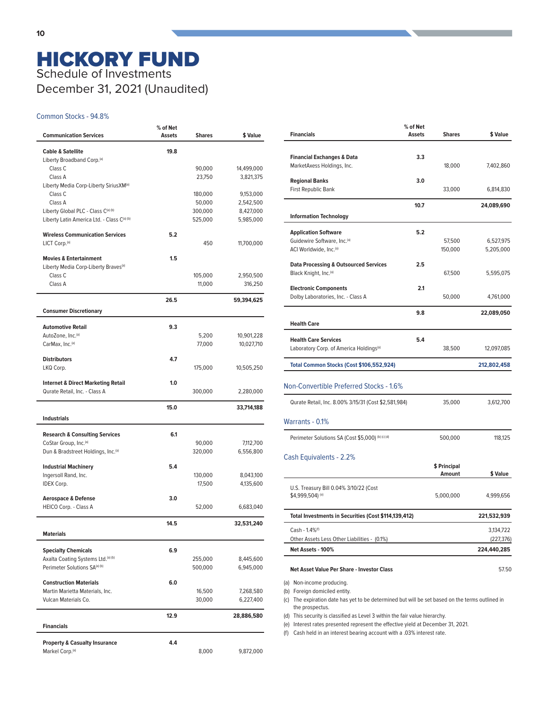### Common Stocks - 94.8%

| <b>Communication Services</b>                                                      | % of Net<br>Assets | <b>Shares</b>      | \$ Value               |
|------------------------------------------------------------------------------------|--------------------|--------------------|------------------------|
| <b>Cable &amp; Satellite</b>                                                       | 19.8               |                    |                        |
| Liberty Broadband Corp. <sup>(a)</sup><br>Class <sub>C</sub>                       |                    | 90,000             | 14,499,000             |
| Class A                                                                            |                    | 23,750             | 3,821,375              |
| Liberty Media Corp-Liberty SiriusXM <sup>(a)</sup>                                 |                    |                    |                        |
| Class <sub>C</sub>                                                                 |                    | 180,000            | 9,153,000              |
| Class A                                                                            |                    | 50,000             | 2,542,500              |
| Liberty Global PLC - Class C(a) (b)<br>Liberty Latin America Ltd. - Class C(a) (b) |                    | 300,000<br>525,000 | 8,427,000<br>5,985,000 |
|                                                                                    |                    |                    |                        |
| <b>Wireless Communication Services</b>                                             | 5.2                |                    |                        |
| LICT Corp. <sup>(a)</sup>                                                          |                    | 450                | 11,700,000             |
| <b>Movies &amp; Entertainment</b>                                                  | 1.5                |                    |                        |
| Liberty Media Corp-Liberty Braves <sup>(a)</sup>                                   |                    |                    |                        |
| Class <sub>C</sub>                                                                 |                    | 105,000            | 2,950,500              |
| Class A                                                                            |                    | 11,000             | 316,250                |
|                                                                                    | 26.5               |                    |                        |
| <b>Consumer Discretionary</b>                                                      |                    |                    | 59,394,625             |
| <b>Automotive Retail</b>                                                           | 9.3                |                    |                        |
| AutoZone, Inc. <sup>(a)</sup>                                                      |                    | 5,200              | 10,901,228             |
| CarMax, Inc. <sup>(a)</sup>                                                        |                    | 77,000             | 10,027,710             |
|                                                                                    | 4.7                |                    |                        |
| <b>Distributors</b><br>LKQ Corp.                                                   |                    | 175,000            | 10,505,250             |
|                                                                                    |                    |                    |                        |
| <b>Internet &amp; Direct Marketing Retail</b>                                      | 1.0                |                    |                        |
| Qurate Retail, Inc. - Class A                                                      |                    | 300,000            | 2,280,000              |
|                                                                                    | 15.0               |                    | 33,714,188             |
| <b>Industrials</b>                                                                 |                    |                    |                        |
| <b>Research &amp; Consulting Services</b>                                          | 6.1                |                    |                        |
| CoStar Group, Inc. <sup>(a)</sup>                                                  |                    | 90,000             | 7,112,700              |
| Dun & Bradstreet Holdings, Inc. <sup>(a)</sup>                                     |                    | 320,000            | 6,556,800              |
|                                                                                    |                    |                    |                        |
| <b>Industrial Machinery</b>                                                        | 5.4                |                    |                        |
| Ingersoll Rand, Inc.<br><b>IDEX Corp.</b>                                          |                    | 130,000<br>17,500  | 8,043,100<br>4,135,600 |
|                                                                                    |                    |                    |                        |
| <b>Aerospace &amp; Defense</b>                                                     | 3.0                |                    |                        |
| HEICO Corp. - Class A                                                              |                    | 52,000             | 6,683,040              |
|                                                                                    | 14.5               |                    | 32,531,240             |
| <b>Materials</b>                                                                   |                    |                    |                        |
|                                                                                    |                    |                    |                        |
| <b>Specialty Chemicals</b><br>Axalta Coating Systems Ltd.(a) (b)                   | 6.9                | 255,000            | 8,445,600              |
| Perimeter Solutions SA(a) (b)                                                      |                    | 500,000            | 6,945,000              |
|                                                                                    |                    |                    |                        |
| <b>Construction Materials</b>                                                      | 6.0                |                    |                        |
| Martin Marietta Materials, Inc.                                                    |                    | 16,500             | 7,268,580              |
| Vulcan Materials Co.                                                               |                    | 30,000             | 6,227,400              |
|                                                                                    | 12.9               |                    | 28,886,580             |
| <b>Financials</b>                                                                  |                    |                    |                        |
| <b>Property &amp; Casualty Insurance</b>                                           | 4.4                |                    |                        |
| Markel Corp. <sup>(a)</sup>                                                        |                    | 8,000              | 9,872,000              |
|                                                                                    |                    |                    |                        |

| <b>Financials</b>                                    | % of Net<br><b>Assets</b> | <b>Shares</b> | \$ Value    |
|------------------------------------------------------|---------------------------|---------------|-------------|
|                                                      |                           |               |             |
| <b>Financial Exchanges &amp; Data</b>                | 3.3                       |               |             |
| MarketAxess Holdings, Inc.                           |                           | 18,000        | 7,402,860   |
| <b>Regional Banks</b>                                | 3.0                       |               |             |
| First Republic Bank                                  |                           | 33,000        | 6,814,830   |
|                                                      | 10.7                      |               | 24,089,690  |
| <b>Information Technology</b>                        |                           |               |             |
| <b>Application Software</b>                          | 5.2                       |               |             |
| Guidewire Software, Inc. <sup>(a)</sup>              |                           | 57,500        | 6,527,975   |
| ACI Worldwide, Inc. <sup>(a)</sup>                   |                           | 150,000       | 5,205,000   |
| <b>Data Processing &amp; Outsourced Services</b>     | 2.5                       |               |             |
| Black Knight, Inc. <sup>(a)</sup>                    |                           | 67,500        | 5,595,075   |
| <b>Electronic Components</b>                         | 2.1                       |               |             |
| Dolby Laboratories, Inc. - Class A                   |                           | 50,000        | 4,761,000   |
|                                                      | 9.8                       |               | 22,089,050  |
| <b>Health Care</b>                                   |                           |               |             |
| <b>Health Care Services</b>                          | 5.4                       |               |             |
| Laboratory Corp. of America Holdings <sup>(a)</sup>  |                           | 38,500        | 12,097,085  |
| Total Common Stocks (Cost \$106,552,924)             |                           |               | 212,802,458 |
| Non-Convertible Preferred Stocks - 1.6%              |                           |               |             |
| Qurate Retail, Inc. 8.00% 3/15/31 (Cost \$2,581,984) |                           | 35,000        | 3,612,700   |
| Warrants - 0.1%                                      |                           |               |             |
| Perimeter Solutions SA (Cost \$5,000) (b) (c) (d)    |                           | 500,000       | 118,125     |
| Cash Equivalents - 2.2%                              |                           |               |             |
|                                                      |                           | \$ Principal  |             |
|                                                      |                           | Amount        | \$ Value    |
| U.S. Treasury Bill 0.04% 3/10/22 (Cost               |                           |               |             |
| \$4,999,504) (e)                                     |                           | 5,000,000     | 4,999,656   |
| Total Investments in Securities (Cost \$114,139,412) |                           |               | 221,532,939 |
| Cash - 1.4% <sup>(f)</sup>                           |                           |               | 3,134,722   |
| Other Assets Less Other Liabilities - (0.1%)         |                           |               | (227, 376)  |
| Net Assets - 100%                                    |                           |               | 224,440,285 |
|                                                      |                           |               |             |

#### **Net Asset Value Per Share - Investor Class** 57.50

(a) Non-income producing.

(b) Foreign domiciled entity.

(c) The expiration date has yet to be determined but will be set based on the terms outlined in the prospectus.

(d) This security is classified as Level 3 within the fair value hierarchy.

(e) Interest rates presented represent the effective yield at December 31, 2021.

(f) Cash held in an interest bearing account with a .03% interest rate.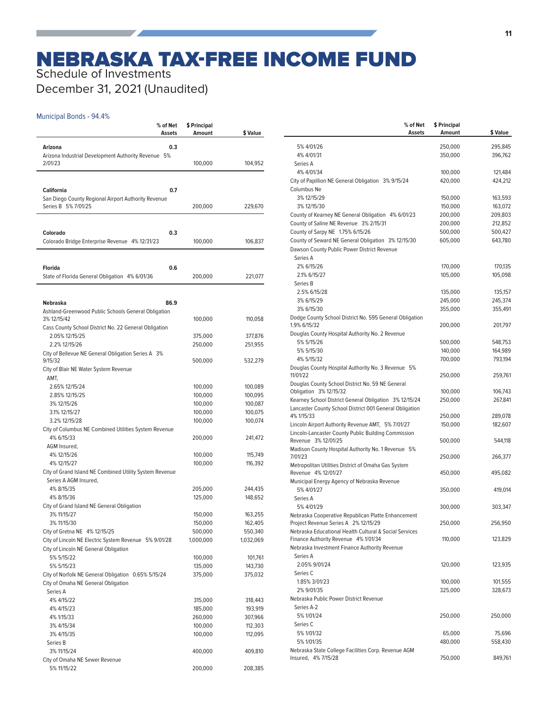### NEBRASKA TAX-FREE INCOME FUND Schedule of Investments

December 31, 2021 (Unaudited)

### Municipal Bonds - 94.4%

| % of Net<br>Assets                                                 | \$ Principal<br>Amount | \$ Value  |
|--------------------------------------------------------------------|------------------------|-----------|
| 0.3<br>Arizona                                                     |                        |           |
| Arizona Industrial Development Authority Revenue 5%                |                        |           |
| 2/01/23                                                            | 100,000                | 104,952   |
|                                                                    |                        |           |
| <b>California</b><br>0.7                                           |                        |           |
| San Diego County Regional Airport Authority Revenue                |                        |           |
| Series B 5% 7/01/25                                                | 200,000                | 229,670   |
|                                                                    |                        |           |
| 0.3<br>Colorado                                                    |                        |           |
| Colorado Bridge Enterprise Revenue 4% 12/31/23                     | 100,000                | 106,837   |
|                                                                    |                        |           |
| <b>Florida</b><br>0.6                                              |                        |           |
| State of Florida General Obligation 4% 6/01/36                     | 200,000                | 221,077   |
|                                                                    |                        |           |
| <b>Nebraska</b><br>86.9                                            |                        |           |
| Ashland-Greenwood Public Schools General Obligation<br>3% 12/15/42 | 100,000                | 110,058   |
| Cass County School District No. 22 General Obligation              |                        |           |
| 2.05% 12/15/25                                                     | 375,000                | 377,876   |
| 2.2% 12/15/26                                                      | 250,000                | 251,955   |
| City of Bellevue NE General Obligation Series A 3%                 |                        |           |
| 9/15/32                                                            | 500,000                | 532,279   |
| City of Blair NE Water System Revenue<br>AMT.                      |                        |           |
| 2.65% 12/15/24                                                     | 100,000                | 100,089   |
| 2.85% 12/15/25                                                     | 100,000                | 100,095   |
| 3% 12/15/26                                                        | 100,000                | 100,087   |
| 3.1% 12/15/27                                                      | 100,000                | 100,075   |
| 3.2% 12/15/28                                                      | 100,000                | 100,074   |
| City of Columbus NE Combined Utilities System Revenue              |                        |           |
| 4% 6/15/33                                                         | 200,000                | 241,472   |
| AGM Insured,                                                       |                        |           |
| 4% 12/15/26                                                        | 100,000                | 115,749   |
| 4% 12/15/27                                                        | 100,000                | 116,392   |
| City of Grand Island NE Combined Utility System Revenue            |                        |           |
| Series A AGM Insured,                                              |                        |           |
| 4% 8/15/35<br>4% 8/15/36                                           | 205,000                | 244,435   |
| City of Grand Island NE General Obligation                         | 125,000                | 148,652   |
| 3% 11/15/27                                                        | 150,000                | 163,255   |
| 3% 11/15/30                                                        | 150,000                | 162,405   |
| City of Gretna NE 4% 12/15/25                                      | 500,000                | 550,340   |
| City of Lincoln NE Electric System Revenue 5% 9/01/28              | 1,000,000              | 1,032,069 |
| City of Lincoln NE General Obligation                              |                        |           |
| 5% 5/15/22                                                         | 100,000                | 101,761   |
| 5% 5/15/23                                                         | 135,000                | 143,730   |
| City of Norfolk NE General Obligation 0.65% 5/15/24                | 375,000                | 375,032   |
| City of Omaha NE General Obligation                                |                        |           |
| Series A                                                           |                        |           |
| 4% 4/15/22                                                         | 315,000                | 318,443   |
| 4% 4/15/23                                                         | 185,000                | 193,919   |
| 4% 1/15/33                                                         | 260,000                | 307,966   |
| 3% 4/15/34                                                         | 100,000                | 112,303   |
| 3% 4/15/35                                                         | 100,000                | 112,095   |
| Series B                                                           |                        |           |
| 3% 11/15/24<br>City of Omaha NE Sewer Revenue                      | 400,000                | 409,810   |
| 5% 11/15/22                                                        | 200,000                | 208,385   |
|                                                                    |                        |           |

| % of Net<br>Assets                                                                                                | \$ Principal<br><b>Amount</b> | \$ Value           |
|-------------------------------------------------------------------------------------------------------------------|-------------------------------|--------------------|
| 5% 4/01/26                                                                                                        | 250,000                       | 295,845            |
| 4% 4/01/31                                                                                                        | 350,000                       | 396,762            |
| Series A                                                                                                          |                               |                    |
| 4% 4/01/34                                                                                                        | 100,000                       | 121,484            |
| City of Papillion NE General Obligation 3% 9/15/24                                                                | 420,000                       | 424,212            |
| Columbus Ne                                                                                                       |                               |                    |
| 3% 12/15/29                                                                                                       | 150,000                       | 163,593            |
| 3% 12/15/30                                                                                                       | 150,000                       | 163,072            |
| County of Kearney NE General Obligation 4% 6/01/23                                                                | 200,000                       | 209,803            |
| County of Saline NE Revenue 3% 2/15/31                                                                            | 200,000                       | 212,852            |
| County of Sarpy NE 1.75% 6/15/26                                                                                  | 500,000                       | 500,427            |
| County of Seward NE General Obligation 3% 12/15/30                                                                | 605,000                       | 643,780            |
| Dawson County Public Power District Revenue                                                                       |                               |                    |
| Series A                                                                                                          |                               |                    |
| 2% 6/15/26                                                                                                        | 170,000                       | 170,135            |
| 2.1% 6/15/27                                                                                                      | 105,000                       | 105,098            |
| Series B                                                                                                          |                               |                    |
| 2.5% 6/15/28                                                                                                      | 135,000<br>245,000            | 135,157            |
| 3% 6/15/29<br>3% 6/15/30                                                                                          | 355,000                       | 245,374<br>355,491 |
| Dodge County School District No. 595 General Obligation                                                           |                               |                    |
| 1.9% 6/15/32                                                                                                      | 200,000                       | 201,797            |
| Douglas County Hospital Authority No. 2 Revenue                                                                   |                               |                    |
| 5% 5/15/26                                                                                                        | 500,000                       | 548,753            |
| 5% 5/15/30                                                                                                        | 140,000                       | 164,989            |
| 4% 5/15/32                                                                                                        | 700,000                       | 793,194            |
| Douglas County Hospital Authority No. 3 Revenue 5%                                                                |                               |                    |
| 11/01/22                                                                                                          | 250,000                       | 259,761            |
| Douglas County School District No. 59 NE General                                                                  |                               |                    |
| Obligation 3% 12/15/32                                                                                            | 100,000                       | 106,743            |
| Kearney School District General Obligation 3% 12/15/24<br>Lancaster County School District 001 General Obligation | 250,000                       | 267,841            |
| 4% 1/15/33                                                                                                        | 250,000                       | 289,078            |
| Lincoln Airport Authority Revenue AMT, 5% 7/01/27                                                                 | 150,000                       | 182,607            |
| Lincoln-Lancaster County Public Building Commission                                                               |                               |                    |
| Revenue 3% 12/01/25                                                                                               | 500,000                       | 544,118            |
| Madison County Hospital Authority No. 1 Revenue 5%                                                                |                               |                    |
| 7/01/23                                                                                                           | 250,000                       | 266,377            |
| Metropolitan Utilities District of Omaha Gas System                                                               |                               |                    |
| Revenue 4% 12/01/27                                                                                               | 450,000                       | 495,082            |
| Municipal Energy Agency of Nebraska Revenue                                                                       |                               |                    |
| 5% 4/01/27<br>Series A                                                                                            | 350,000                       | 419,014            |
| 5% 4/01/29                                                                                                        | 300,000                       | 303,347            |
| Nebraska Cooperative Republican Platte Enhancement                                                                |                               |                    |
| Project Revenue Series A 2% 12/15/29                                                                              | 250,000                       | 256,950            |
| Nebraska Educational Health Cultural & Social Services                                                            |                               |                    |
| Finance Authority Revenue 4% 1/01/34                                                                              | 110,000                       | 123,829            |
| Nebraska Investment Finance Authority Revenue                                                                     |                               |                    |
| Series A                                                                                                          |                               |                    |
| 2.05% 9/01/24                                                                                                     | 120,000                       | 123,935            |
| Series C                                                                                                          |                               |                    |
| 1.85% 3/01/23                                                                                                     | 100,000                       | 101,555            |
| 2% 9/01/35                                                                                                        | 325,000                       | 328,673            |
| Nebraska Public Power District Revenue                                                                            |                               |                    |
| Series A-2                                                                                                        |                               |                    |
| 5% 1/01/24                                                                                                        | 250,000                       | 250,000            |
| Series C                                                                                                          |                               |                    |
| 5% 1/01/32                                                                                                        | 65,000                        | 75,696             |
| 5% 1/01/35<br>Nebraska State College Facilities Corp. Revenue AGM                                                 | 480,000                       | 558,430            |
| Insured. 4% 7/15/28                                                                                               | 750,000                       | 849.761            |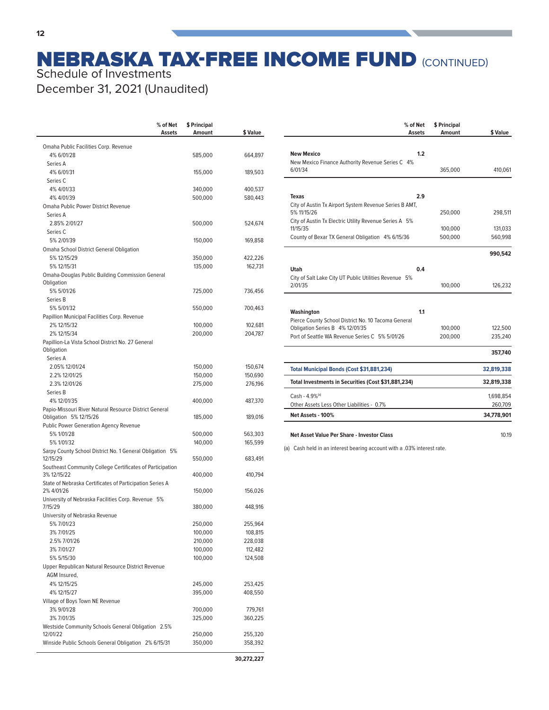### NEBRASKA TAX-FREE INCOME FUND (CONTINUED) Schedule of Investments

**30,272,227** 

December 31, 2021 (Unaudited)

|                                                                      | % of Net | \$ Principal       |                    |
|----------------------------------------------------------------------|----------|--------------------|--------------------|
|                                                                      | Assets   | Amount             | \$ Value           |
| Omaha Public Facilities Corp. Revenue                                |          |                    |                    |
| 4% 6/01/28                                                           |          | 585,000            | 664,897            |
| Series A                                                             |          |                    |                    |
| 4% 6/01/31                                                           |          | 155,000            | 189,503            |
| Series <sub>C</sub>                                                  |          |                    |                    |
| 4% 4/01/33                                                           |          | 340,000            | 400,537            |
| 4% 4/01/39                                                           |          | 500,000            | 580,443            |
| Omaha Public Power District Revenue                                  |          |                    |                    |
| Series A                                                             |          |                    |                    |
| 2.85% 2/01/27                                                        |          | 500,000            | 524,674            |
| Series C                                                             |          |                    |                    |
| 5% 2/01/39                                                           |          | 150,000            | 169,858            |
| Omaha School District General Obligation<br>5% 12/15/29              |          | 350,000            | 422,226            |
| 5% 12/15/31                                                          |          | 135,000            | 162,731            |
| Omaha-Douglas Public Building Commission General                     |          |                    |                    |
| Obligation                                                           |          |                    |                    |
| 5% 5/01/26                                                           |          | 725,000            | 736,456            |
| Series B                                                             |          |                    |                    |
| 5% 5/01/32                                                           |          | 550,000            | 700,463            |
| Papillion Municipal Facilities Corp. Revenue                         |          |                    |                    |
| 2% 12/15/32                                                          |          | 100,000            | 102,681            |
| 2% 12/15/34                                                          |          | 200,000            | 204,787            |
| Papillion-La Vista School District No. 27 General                    |          |                    |                    |
| Obligation                                                           |          |                    |                    |
| Series A<br>2.05% 12/01/24                                           |          | 150,000            | 150,674            |
| 2.2% 12/01/25                                                        |          | 150,000            | 150,690            |
| 2.3% 12/01/26                                                        |          | 275,000            | 276,196            |
| Series B                                                             |          |                    |                    |
| 4% 12/01/35                                                          |          | 400,000            | 487,370            |
| Papio-Missouri River Natural Resource District General               |          |                    |                    |
| Obligation 5% 12/15/26                                               |          | 185,000            | 189,016            |
| Public Power Generation Agency Revenue                               |          |                    |                    |
| 5% 1/01/28                                                           |          | 500,000            | 563,303            |
| 5% 1/01/32                                                           |          | 140,000            | 165,599            |
| Sarpy County School District No. 1 General Obligation 5%<br>12/15/29 |          |                    |                    |
| Southeast Community College Certificates of Participation            |          | 550,000            | 683,491            |
| 3% 12/15/22                                                          |          | 400,000            | 410,794            |
| State of Nebraska Certificates of Participation Series A             |          |                    |                    |
| 2% 4/01/26                                                           |          | 150,000            | 156,026            |
| University of Nebraska Facilities Corp. Revenue 5%                   |          |                    |                    |
| 7/15/29                                                              |          | 380,000            | 448,916            |
| University of Nebraska Revenue                                       |          |                    |                    |
| 5% 7/01/23                                                           |          | 250,000            | 255,964            |
| 3% 7/01/25<br>2.5% 7/01/26                                           |          | 100,000            | 108,815            |
| 3% 7/01/27                                                           |          | 210,000<br>100,000 | 228,038<br>112,482 |
| 5% 5/15/30                                                           |          | 100,000            | 124,508            |
| Upper Republican Natural Resource District Revenue                   |          |                    |                    |
| AGM Insured,                                                         |          |                    |                    |
| 4% 12/15/25                                                          |          | 245,000            | 253,425            |
| 4% 12/15/27                                                          |          | 395,000            | 408,550            |
| Village of Boys Town NE Revenue                                      |          |                    |                    |
| 3% 9/01/28                                                           |          | 700,000            | 779,761            |
| 3% 7/01/35                                                           |          | 325,000            | 360,225            |
| Westside Community Schools General Obligation 2.5%                   |          |                    |                    |
| 12/01/22                                                             |          | 250,000            | 255,320            |
| Winside Public Schools General Obligation 2% 6/15/31                 |          | 350,000            | 358,392            |

|                                                                                        | % of Net<br><b>Assets</b> | \$ Principal<br>Amount | \$ Value   |
|----------------------------------------------------------------------------------------|---------------------------|------------------------|------------|
|                                                                                        |                           |                        |            |
| <b>New Mexico</b>                                                                      | 1.2                       |                        |            |
| New Mexico Finance Authority Revenue Series C 4%                                       |                           |                        |            |
| 6/01/34                                                                                |                           | 365,000                | 410,061    |
| <b>Texas</b>                                                                           | 2.9                       |                        |            |
| City of Austin Tx Airport System Revenue Series B AMT,                                 |                           |                        |            |
| 5% 11/15/26                                                                            |                           | 250,000                | 298,511    |
| City of Austin Tx Electric Utility Revenue Series A 5%                                 |                           |                        |            |
| 11/15/35                                                                               |                           | 100,000                | 131,033    |
| County of Bexar TX General Obligation 4% 6/15/36                                       |                           | 500.000                | 560,998    |
|                                                                                        |                           |                        | 990,542    |
| Utah                                                                                   | 0.4                       |                        |            |
| City of Salt Lake City UT Public Utilities Revenue 5%                                  |                           |                        |            |
| 2/01/35                                                                                |                           | 100,000                | 126,232    |
|                                                                                        |                           |                        |            |
| Washington                                                                             | 1.1                       |                        |            |
| Pierce County School District No. 10 Tacoma General<br>Obligation Series B 4% 12/01/35 |                           | 100,000                | 122,500    |
| Port of Seattle WA Revenue Series C 5% 5/01/26                                         |                           | 200,000                | 235,240    |
|                                                                                        |                           |                        | 357,740    |
| Total Municipal Bonds (Cost \$31,881,234)                                              |                           |                        | 32,819,338 |
| Total Investments in Securities (Cost \$31,881,234)                                    |                           |                        | 32,819,338 |
| $Cash - 4.9%$ <sup>(a)</sup>                                                           |                           |                        | 1,698,854  |
| Other Assets Less Other Liabilities - 0.7%                                             |                           |                        | 260,709    |
| Net Assets - 100%                                                                      |                           |                        | 34,778,901 |

#### **Net Asset Value Per Share - Investor Class** 10.19

(a) Cash held in an interest bearing account with a .03% interest rate.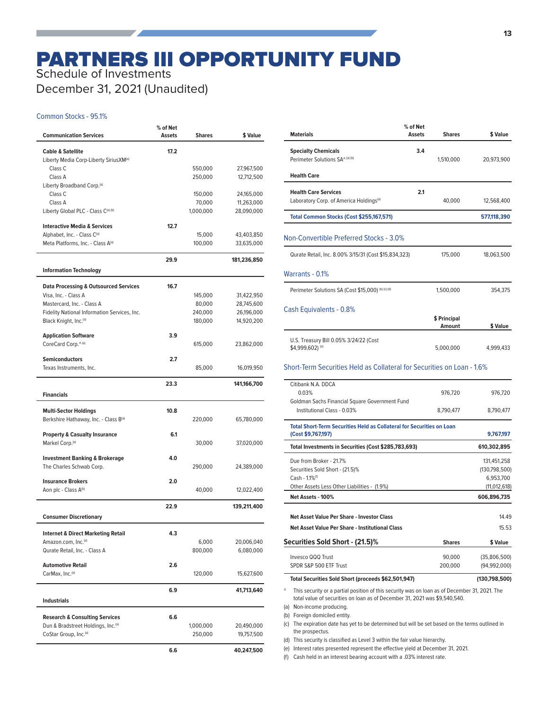# PARTNERS III OPPORTUNITY FUND

Schedule of Investments

December 31, 2021 (Unaudited)

### Common Stocks - 95.1%

| <b>Communication Services</b>                                            | % of Net<br><b>Assets</b> | <b>Shares</b> | \$ Value    |
|--------------------------------------------------------------------------|---------------------------|---------------|-------------|
| <b>Cable &amp; Satellite</b>                                             | 17.2                      |               |             |
| Liberty Media Corp-Liberty SiriusXM <sup>(a)</sup><br>Class <sub>C</sub> |                           | 550,000       | 27,967,500  |
| Class A                                                                  |                           | 250,000       | 12,712,500  |
| Liberty Broadband Corp. <sup>(a)</sup>                                   |                           |               |             |
| Class <sub>C</sub>                                                       |                           | 150,000       | 24,165,000  |
| Class A                                                                  |                           | 70,000        | 11,263,000  |
| Liberty Global PLC - Class C(a) (b)                                      |                           | 1,000,000     | 28,090,000  |
| <b>Interactive Media &amp; Services</b>                                  | 12.7                      |               |             |
| Alphabet, Inc. - Class C(a)                                              |                           | 15,000        | 43,403,850  |
| Meta Platforms, Inc. - Class A(a)                                        |                           | 100,000       | 33,635,000  |
|                                                                          | 29.9                      |               | 181,236,850 |
| <b>Information Technology</b>                                            |                           |               |             |
| <b>Data Processing &amp; Outsourced Services</b>                         | 16.7                      |               |             |
| Visa, Inc. - Class A                                                     |                           | 145,000       | 31,422,950  |
| Mastercard, Inc. - Class A                                               |                           | 80,000        | 28,745,600  |
| Fidelity National Information Services, Inc.                             |                           | 240,000       | 26,196,000  |
| Black Knight, Inc. <sup>(a)</sup>                                        |                           | 180,000       | 14,920,200  |
| <b>Application Software</b>                                              | 3.9                       |               |             |
| CoreCard Corp.^(a)                                                       |                           | 615,000       | 23,862,000  |
| <b>Semiconductors</b>                                                    | 2.7                       |               |             |
| Texas Instruments, Inc.                                                  |                           | 85,000        | 16,019,950  |
|                                                                          | 23.3                      |               | 141,166,700 |
| <b>Financials</b>                                                        |                           |               |             |
|                                                                          |                           |               |             |
| <b>Multi-Sector Holdings</b><br>Berkshire Hathaway, Inc. - Class B(a)    | 10.8                      | 220,000       | 65,780,000  |
|                                                                          |                           |               |             |
| <b>Property &amp; Casualty Insurance</b>                                 | 6.1                       |               |             |
| Markel Corp. <sup>(a)</sup>                                              |                           | 30,000        | 37,020,000  |
| <b>Investment Banking &amp; Brokerage</b>                                | 4.0                       |               |             |
| The Charles Schwab Corp.                                                 |                           | 290,000       | 24,389,000  |
| <b>Insurance Brokers</b>                                                 | 2.0                       |               |             |
| Aon plc - Class A(b)                                                     |                           | 40,000        | 12,022,400  |
|                                                                          |                           |               |             |
| <b>Consumer Discretionary</b>                                            | 22.9                      |               | 139,211,400 |
|                                                                          |                           |               |             |
| <b>Internet &amp; Direct Marketing Retail</b>                            | 4.3                       |               |             |
| Amazon.com, Inc.(a)                                                      |                           | 6,000         | 20,006,040  |
| Qurate Retail, Inc. - Class A                                            |                           | 800,000       | 6,080,000   |
| <b>Automotive Retail</b>                                                 | 2.6                       |               |             |
| CarMax, Inc. <sup>(a)</sup>                                              |                           | 120,000       | 15,627,600  |
|                                                                          | 6.9                       |               | 41,713,640  |
| <b>Industrials</b>                                                       |                           |               |             |
| <b>Research &amp; Consulting Services</b>                                | 6.6                       |               |             |
| Dun & Bradstreet Holdings, Inc. <sup>(a)</sup>                           |                           | 1,000,000     | 20,490,000  |
| CoStar Group, Inc. <sup>(a)</sup>                                        |                           | 250,000       | 19,757,500  |
|                                                                          |                           |               |             |
|                                                                          | 6.6                       |               | 40,247,500  |

| <b>Materials</b>                                                                                                                                                                                                                                                                                                                                                                                                                                    | % of Net<br>Assets | <b>Shares</b>          | \$ Value                                                    |
|-----------------------------------------------------------------------------------------------------------------------------------------------------------------------------------------------------------------------------------------------------------------------------------------------------------------------------------------------------------------------------------------------------------------------------------------------------|--------------------|------------------------|-------------------------------------------------------------|
| <b>Specialty Chemicals</b><br>Perimeter Solutions SA^ (a) (b)                                                                                                                                                                                                                                                                                                                                                                                       | 3.4                | 1,510,000              | 20,973,900                                                  |
| <b>Health Care</b>                                                                                                                                                                                                                                                                                                                                                                                                                                  |                    |                        |                                                             |
| <b>Health Care Services</b><br>Laboratory Corp. of America Holdings <sup>(a)</sup>                                                                                                                                                                                                                                                                                                                                                                  | 2.1                | 40,000                 | 12,568,400                                                  |
| Total Common Stocks (Cost \$255,167,571)                                                                                                                                                                                                                                                                                                                                                                                                            |                    |                        | 577,118,390                                                 |
| Non-Convertible Preferred Stocks - 3.0%                                                                                                                                                                                                                                                                                                                                                                                                             |                    |                        |                                                             |
| Qurate Retail, Inc. 8.00% 3/15/31 (Cost \$15,834,323)                                                                                                                                                                                                                                                                                                                                                                                               |                    | 175,000                | 18,063,500                                                  |
| Warrants - 0.1%                                                                                                                                                                                                                                                                                                                                                                                                                                     |                    |                        |                                                             |
| Perimeter Solutions SA (Cost \$15,000) (b) (c) (d)                                                                                                                                                                                                                                                                                                                                                                                                  |                    | 1,500,000              | 354,375                                                     |
| Cash Equivalents - 0.8%                                                                                                                                                                                                                                                                                                                                                                                                                             |                    | \$ Principal<br>Amount | \$ Value                                                    |
| U.S. Treasury Bill 0.05% 3/24/22 (Cost<br>\$4,999,602) <sup>(e)</sup>                                                                                                                                                                                                                                                                                                                                                                               |                    | 5,000,000              | 4,999,433                                                   |
| Short-Term Securities Held as Collateral for Securities on Loan - 1.6%                                                                                                                                                                                                                                                                                                                                                                              |                    |                        |                                                             |
| Citibank N.A. DDCA<br>0.03%<br>Goldman Sachs Financial Square Government Fund                                                                                                                                                                                                                                                                                                                                                                       |                    | 976,720                | 976,720                                                     |
| Institutional Class - 0.03%                                                                                                                                                                                                                                                                                                                                                                                                                         |                    | 8,790,477              | 8,790,477                                                   |
| <b>Total Short-Term Securities Held as Collateral for Securities on Loan</b><br>(Cost \$9,767,197)                                                                                                                                                                                                                                                                                                                                                  |                    |                        | 9,767,197                                                   |
| Total Investments in Securities (Cost \$285,783,693)                                                                                                                                                                                                                                                                                                                                                                                                |                    |                        | 610,302,895                                                 |
| Due from Broker - 21.7%<br>Securities Sold Short - (21.5)%<br>Cash - 1.1%(f)<br>Other Assets Less Other Liabilities - (1.9%)                                                                                                                                                                                                                                                                                                                        |                    |                        | 131,451,258<br>(130,798,500)<br>6,953,700<br>(11, 012, 618) |
| Net Assets - 100%                                                                                                                                                                                                                                                                                                                                                                                                                                   |                    |                        | 606,896,735                                                 |
| <b>Net Asset Value Per Share - Investor Class</b><br>Net Asset Value Per Share - Institutional Class                                                                                                                                                                                                                                                                                                                                                |                    |                        | 14.49<br>15.53                                              |
| Securities Sold Short - (21.5)%                                                                                                                                                                                                                                                                                                                                                                                                                     |                    | <b>Shares</b>          | \$ Value                                                    |
| Invesco QQQ Trust<br>SPDR S&P 500 ETF Trust                                                                                                                                                                                                                                                                                                                                                                                                         |                    | 90,000<br>200,000      | (35,806,500)<br>(94, 992, 000)                              |
| Total Securities Sold Short (proceeds \$62,501,947)                                                                                                                                                                                                                                                                                                                                                                                                 |                    |                        | (130, 798, 500)                                             |
| ٨<br>This security or a partial position of this security was on loan as of December 31, 2021. The<br>total value of securities on loan as of December 31, 2021 was \$9,540,540.<br>(a) Non-income producing.<br>(b) Foreign domiciled entity.<br>(c) The expiration date has yet to be determined but will be set based on the terms outlined in<br>the prospectus.<br>(d) This security is classified as Level 3 within the fair value hierarchy. |                    |                        |                                                             |

(e) Interest rates presented represent the effective yield at December 31, 2021.

(f) Cash held in an interest bearing account with a .03% interest rate.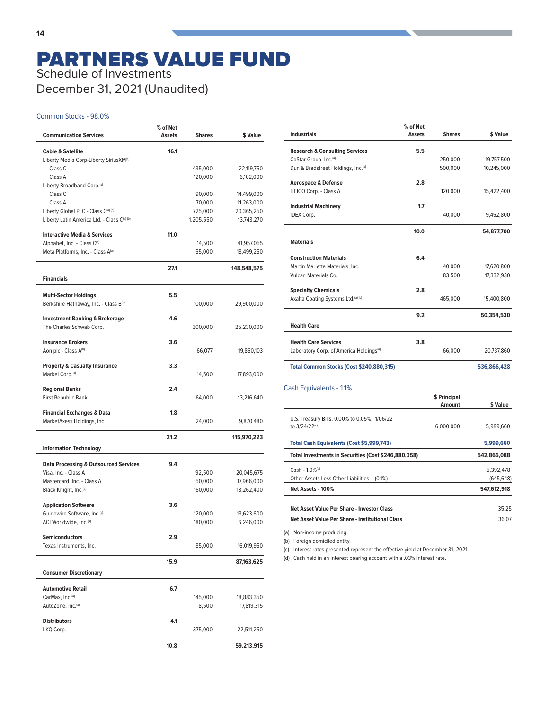# PARTNERS VALUE FUND

Schedule of Investments

December 31, 2021 (Unaudited)

### Common Stocks - 98.0%

| <b>Communication Services</b>                                            | % of Net<br><b>Assets</b> | <b>Shares</b> | \$ Value    |
|--------------------------------------------------------------------------|---------------------------|---------------|-------------|
| <b>Cable &amp; Satellite</b>                                             | 16.1                      |               |             |
| Liberty Media Corp-Liberty SiriusXM <sup>(a)</sup><br>Class <sub>C</sub> |                           | 435,000       | 22,119,750  |
| Class A                                                                  |                           | 120,000       | 6,102,000   |
| Liberty Broadband Corp. <sup>(a)</sup>                                   |                           |               |             |
| Class <sub>C</sub>                                                       |                           | 90,000        | 14,499,000  |
| Class A                                                                  |                           | 70,000        | 11,263,000  |
| Liberty Global PLC - Class C(a) (b)                                      |                           | 725,000       | 20,365,250  |
| Liberty Latin America Ltd. - Class C(a) (b)                              |                           | 1,205,550     | 13,743,270  |
| <b>Interactive Media &amp; Services</b>                                  | 11.0                      |               |             |
| Alphabet, Inc. - Class C(a)                                              |                           | 14,500        | 41,957,055  |
| Meta Platforms, Inc. - Class A(a)                                        |                           | 55,000        | 18,499,250  |
|                                                                          | 27.1                      |               | 148,548,575 |
| <b>Financials</b>                                                        |                           |               |             |
| <b>Multi-Sector Holdings</b>                                             | 5.5                       |               |             |
| Berkshire Hathaway, Inc. - Class B(a)                                    |                           | 100,000       | 29,900,000  |
| <b>Investment Banking &amp; Brokerage</b>                                | 4.6                       |               |             |
| The Charles Schwab Corp.                                                 |                           | 300,000       | 25,230,000  |
|                                                                          |                           |               |             |
| <b>Insurance Brokers</b><br>Aon plc - Class A <sup>(b)</sup>             | 3.6                       | 66,077        | 19,860,103  |
|                                                                          |                           |               |             |
| <b>Property &amp; Casualty Insurance</b>                                 | 3.3                       |               |             |
| Markel Corp. <sup>(a)</sup>                                              |                           | 14,500        | 17,893,000  |
| <b>Regional Banks</b>                                                    | 2.4                       |               |             |
| First Republic Bank                                                      |                           | 64,000        | 13,216,640  |
| <b>Financial Exchanges &amp; Data</b>                                    | 1.8                       |               |             |
| MarketAxess Holdings, Inc.                                               |                           | 24,000        | 9,870,480   |
|                                                                          | 21.2                      |               | 115,970,223 |
| <b>Information Technology</b>                                            |                           |               |             |
| <b>Data Processing &amp; Outsourced Services</b>                         | 9.4                       |               |             |
| Visa, Inc. - Class A                                                     |                           | 92,500        | 20,045,675  |
| Mastercard, Inc. - Class A                                               |                           | 50,000        | 17,966,000  |
| Black Knight, Inc. <sup>(a)</sup>                                        |                           | 160,000       | 13,262,400  |
| <b>Application Software</b>                                              | 3.6                       |               |             |
| Guidewire Software, Inc. <sup>(a)</sup>                                  |                           | 120,000       | 13,623,600  |
| ACI Worldwide, Inc.(a)                                                   |                           | 180,000       | 6,246,000   |
| <b>Semiconductors</b>                                                    | 2.9                       |               |             |
| Texas Instruments, Inc.                                                  |                           | 85,000        | 16,019,950  |
|                                                                          | 15.9                      |               | 87,163,625  |
| <b>Consumer Discretionary</b>                                            |                           |               |             |
| <b>Automotive Retail</b>                                                 | 6.7                       |               |             |
| CarMax, Inc. <sup>(a)</sup>                                              |                           | 145,000       | 18,883,350  |
| AutoZone, Inc.(a)                                                        |                           | 8,500         | 17,819,315  |
|                                                                          |                           |               |             |
| <b>Distributors</b><br>LKQ Corp.                                         | 4.1                       | 375,000       | 22,511,250  |
|                                                                          |                           |               |             |
|                                                                          | 10.8                      |               | 59,213,915  |

| % of Net<br><b>Assets</b>                | <b>Shares</b> | \$ Value    |
|------------------------------------------|---------------|-------------|
| 5.5                                      |               |             |
|                                          | 250,000       | 19,757,500  |
|                                          | 500.000       | 10,245,000  |
| 2.8                                      |               |             |
|                                          | 120,000       | 15,422,400  |
| 1.7                                      |               |             |
|                                          | 40,000        | 9,452,800   |
| 10.0                                     |               | 54,877,700  |
|                                          |               |             |
| 6.4                                      |               |             |
|                                          | 40,000        | 17,620,800  |
|                                          | 83,500        | 17,332,930  |
| 2.8                                      |               |             |
|                                          | 465,000       | 15,400,800  |
| 9.2                                      |               | 50,354,530  |
|                                          |               |             |
| 3.8                                      |               |             |
|                                          | 66,000        | 20,737,860  |
| Total Common Stocks (Cost \$240,880,315) |               | 536,866,428 |
|                                          |               |             |

#### Cash Equivalents - 1.1%

|                                                                               | Amount    | \$ Value                |
|-------------------------------------------------------------------------------|-----------|-------------------------|
| U.S. Treasury Bills, 0.00% to 0.05%, 1/06/22<br>to 3/24/22 <sup>(c)</sup>     | 6.000.000 | 5.999.660               |
| Total Cash Equivalents (Cost \$5,999,743)                                     |           | 5.999.660               |
| Total Investments in Securities (Cost \$246,880,058)                          |           | 542,866,088             |
| $Cash - 1.0\%$ <sup>(d)</sup><br>Other Assets Less Other Liabilities - (0.1%) |           | 5.392.478<br>(645, 648) |
| Net Assets - 100%                                                             |           | 547,612,918             |
| Net Asset Value Per Share - Investor Class                                    |           | 35.25                   |

**\$ Principal** 

| Net Asset Value Per Share - Institutional Class | 36.07 |
|-------------------------------------------------|-------|
|                                                 |       |

(a) Non-income producing.

(b) Foreign domiciled entity.

(c) Interest rates presented represent the effective yield at December 31, 2021.

(d) Cash held in an interest bearing account with a .03% interest rate.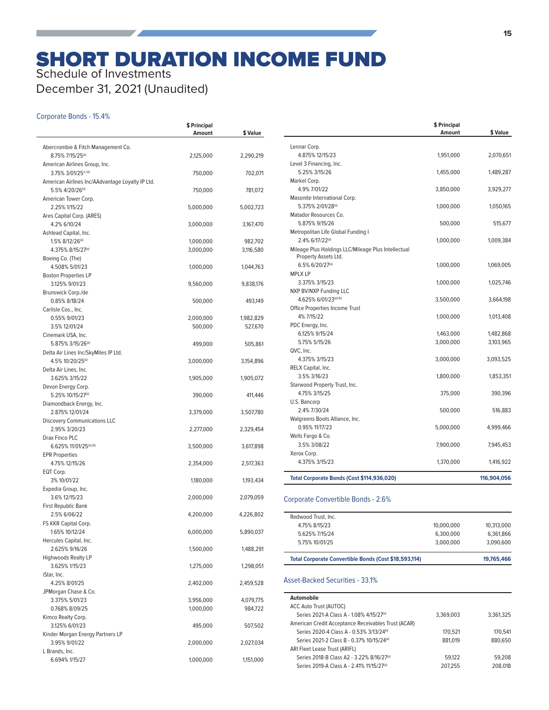## SHORT DURATION INCOME FUND

Schedule of Investments

December 31, 2021 (Unaudited)

### Corporate Bonds - 15.4%

|                                                        | \$ Principal<br>Amount | \$ Value  |
|--------------------------------------------------------|------------------------|-----------|
|                                                        |                        |           |
| Abercrombie & Fitch Management Co.<br>8.75% 7/15/25(a) |                        |           |
|                                                        | 2,125,000              | 2,290,219 |
| American Airlines Group, Inc.<br>3.75% 3/01/25^(a)     | 750,000                | 702,071   |
| American Airlines Inc/AAdvantage Loyalty IP Ltd.       |                        |           |
| 5.5% 4/20/26 <sup>(a)</sup>                            | 750,000                | 781,072   |
| American Tower Corp.                                   |                        |           |
| 2.25% 1/15/22                                          | 5,000,000              | 5,002,723 |
| Ares Capital Corp. (ARES)                              |                        |           |
| 4.2% 6/10/24                                           | 3,000,000              | 3,167,470 |
| Ashtead Capital, Inc.                                  |                        |           |
| 1.5% 8/12/26(a)                                        | 1,000,000              | 982,702   |
| 4.375% 8/15/27 <sup>(a)</sup>                          | 3,000,000              | 3,116,580 |
| Boeing Co. (The)                                       |                        |           |
| 4.508% 5/01/23                                         | 1,000,000              | 1,044,763 |
| <b>Boston Properties LP</b>                            |                        |           |
| 3.125% 9/01/23                                         | 9,560,000              | 9,838,176 |
| Brunswick Corp./de                                     |                        |           |
| 0.85% 8/18/24                                          | 500,000                | 493,149   |
| Carlisle Cos., Inc.                                    |                        |           |
| 0.55% 9/01/23                                          | 2,000,000              | 1,982,829 |
| 3.5% 12/01/24                                          | 500,000                | 527,670   |
| Cinemark USA, Inc.                                     |                        |           |
| 5.875% 3/15/26 <sup>(a)</sup>                          | 499,000                | 505,861   |
| Delta Air Lines Inc/SkyMiles IP Ltd.                   |                        |           |
| 4.5% 10/20/25(a)                                       | 3,000,000              | 3,154,896 |
| Delta Air Lines, Inc.                                  |                        |           |
| 3.625% 3/15/22                                         | 1,905,000              | 1,905,072 |
| Devon Energy Corp.                                     |                        |           |
| 5.25% 10/15/27(a)                                      | 390,000                | 411,446   |
| Diamondback Energy, Inc.                               |                        |           |
| 2.875% 12/01/24                                        | 3,379,000              | 3,507,780 |
| <b>Discovery Communications LLC</b>                    |                        |           |
| 2.95% 3/20/23                                          | 2,277,000              | 2,329,454 |
| Drax Finco PLC                                         |                        |           |
| 6.625% 11/01/25(a) (b)                                 | 3,500,000              | 3,617,898 |
| <b>EPR Properties</b>                                  |                        |           |
| 4.75% 12/15/26                                         | 2,354,000              | 2,517,363 |
| EQT Corp.<br>3% 10/01/22                               |                        |           |
| Expedia Group, Inc.                                    | 1,180,000              | 1,193,434 |
| 3.6% 12/15/23                                          | 2,000,000              | 2,079,059 |
| First Republic Bank                                    |                        |           |
| 2.5% 6/06/22                                           | 4,200,000              | 4,226,802 |
| FS KKR Capital Corp.                                   |                        |           |
| 1.65% 10/12/24                                         | 6,000,000              | 5,890,037 |
| Hercules Capital, Inc.                                 |                        |           |
| 2.625% 9/16/26                                         | 1,500,000              | 1,488,291 |
| <b>Highwoods Realty LP</b>                             |                        |           |
| 3.625% 1/15/23                                         | 1,275,000              | 1,298,051 |
| iStar, Inc.                                            |                        |           |
| 4.25% 8/01/25                                          | 2,402,000              | 2,459,528 |
| JPMorgan Chase & Co.                                   |                        |           |
| 3.375% 5/01/23                                         | 3,956,000              | 4,079,775 |
| 0.768% 8/09/25                                         | 1,000,000              | 984,722   |
| Kimco Realty Corp.                                     |                        |           |
| 3.125% 6/01/23                                         | 495,000                | 507,502   |
| Kinder Morgan Energy Partners LP                       |                        |           |
| 3.95% 9/01/22                                          | 2,000,000              | 2,027,034 |
| L Brands, Inc.                                         |                        |           |
| 6.694% 1/15/27                                         | 1,000,000              | 1,151,000 |
|                                                        |                        |           |

|                                                                             | \$ Principal<br><b>Amount</b> | \$ Value    |
|-----------------------------------------------------------------------------|-------------------------------|-------------|
| Lennar Corp.                                                                |                               |             |
| 4.875% 12/15/23                                                             | 1,951,000                     | 2,070,651   |
| Level 3 Financing, Inc.                                                     |                               |             |
| 5.25% 3/15/26                                                               | 1,455,000                     | 1,489,287   |
| Markel Corp.                                                                |                               |             |
| 4.9% 7/01/22                                                                | 3,850,000                     | 3,929,277   |
| Masonite International Corp.                                                |                               |             |
| 5.375% 2/01/28(a)                                                           | 1,000,000                     | 1,050,165   |
| Matador Resources Co.                                                       |                               |             |
| 5.875% 9/15/26                                                              | 500,000                       | 515,677     |
| Metropolitan Life Global Funding I                                          |                               |             |
| 2.4% 6/17/22(a)                                                             | 1,000,000                     | 1,009,384   |
| Mileage Plus Holdings LLC/Mileage Plus Intellectual<br>Property Assets Ltd. |                               |             |
| 6.5% 6/20/27 <sup>(a)</sup>                                                 | 1,000,000                     | 1,069,005   |
| <b>MPLX LP</b>                                                              |                               |             |
| 3.375% 3/15/23                                                              | 1,000,000                     | 1,025,746   |
| NXP BV/NXP Funding LLC                                                      |                               |             |
| 4.625% 6/01/23(a) (b)                                                       | 3,500,000                     | 3,664,198   |
| Office Properties Income Trust                                              |                               |             |
| 4% 7/15/22                                                                  | 1,000,000                     | 1,013,408   |
| PDC Energy, Inc.                                                            |                               |             |
| 6.125% 9/15/24                                                              | 1,463,000                     | 1,482,868   |
| 5.75% 5/15/26                                                               | 3,000,000                     | 3,103,965   |
| QVC, Inc.                                                                   |                               |             |
| 4.375% 3/15/23                                                              | 3,000,000                     | 3,093,525   |
| RELX Capital, Inc.                                                          |                               |             |
| 3.5% 3/16/23                                                                | 1,800,000                     | 1,853,351   |
| Starwood Property Trust, Inc.                                               |                               |             |
| 4.75% 3/15/25                                                               | 375,000                       | 390,396     |
| U.S. Bancorp                                                                |                               |             |
| 2.4% 7/30/24                                                                | 500,000                       | 516,883     |
| Walgreens Boots Alliance, Inc.                                              |                               |             |
| 0.95% 11/17/23                                                              | 5,000,000                     | 4,999,466   |
| Wells Fargo & Co.                                                           |                               |             |
| 3.5% 3/08/22                                                                | 7,900,000                     | 7,945,453   |
| Xerox Corp.                                                                 |                               |             |
| 4.375% 3/15/23                                                              | 1,370,000                     | 1,416,922   |
| Total Corporate Bonds (Cost \$114,936,020)                                  |                               | 116,904,056 |

### Corporate Convertible Bonds - 2.6%

| Redwood Trust, Inc. |            |            |
|---------------------|------------|------------|
| 4.75% 8/15/23       | 10,000,000 | 10.313.000 |
| 5.625% 7/15/24      | 6.300.000  | 6.361.866  |
| 5.75% 10/01/25      | 3.000.000  | 3.090.600  |

| Total Corporate Convertible Bonds (Cost \$18,593,114) | 19,765,466 |
|-------------------------------------------------------|------------|
|-------------------------------------------------------|------------|

#### Asset-Backed Securities - 33.1%

| <b>Automobile</b>                                    |           |           |
|------------------------------------------------------|-----------|-----------|
| <b>ACC Auto Trust (AUTOC)</b>                        |           |           |
| Series 2021-A Class A - 1.08% 4/15/27(a)             | 3.369.003 | 3.361.325 |
| American Credit Acceptance Receivables Trust (ACAR)  |           |           |
| Series 2020-4 Class A - 0.53% 3/13/24 <sup>(a)</sup> | 170.521   | 170.541   |
| Series 2021-2 Class B - 0.37% 10/15/24(a)            | 881.019   | 880,650   |
| ARI Fleet Lease Trust (ARIFL)                        |           |           |
| Series 2018-B Class A2 - 3.22% 8/16/27(a)            | 59.122    | 59.208    |
| Series 2019-A Class A - 2.41% 11/15/27(a)            | 207.255   | 208,018   |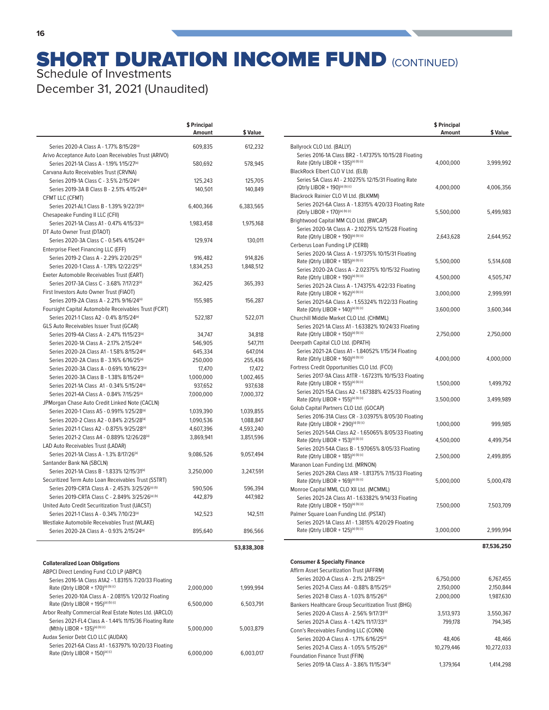### **SHORT DURATION INCOME FUND (CONTINUED)** Schedule of Investments

December 31, 2021 (Unaudited)

|                                                                                                                 | \$ Principal<br>Amount | \$ Value   |
|-----------------------------------------------------------------------------------------------------------------|------------------------|------------|
| Series 2020-A Class A - 1.77% 8/15/28(a)                                                                        | 609.835                |            |
| Arivo Acceptance Auto Loan Receivables Trust (ARIVO)                                                            |                        | 612,232    |
| Series 2021-1A Class A - 1.19% 1/15/27 <sup>(a)</sup>                                                           | 580,692                | 578,945    |
| Carvana Auto Receivables Trust (CRVNA)                                                                          |                        |            |
| Series 2019-1A Class C - 3.5% 2/15/24 <sup>(a)</sup>                                                            | 125,243                | 125,705    |
| Series 2019-3A B Class B - 2.51% 4/15/24(a)                                                                     | 140,501                | 140,849    |
| CFMT LLC (CFMT)                                                                                                 |                        |            |
| Series 2021-AL1 Class B - 1.39% 9/22/31 <sup>(a)</sup>                                                          | 6,400,366              | 6,383,565  |
| Chesapeake Funding II LLC (CFII)                                                                                |                        |            |
| Series 2021-1A Class A1 - 0.47% 4/15/33(a)                                                                      | 1,983,458              | 1,975,168  |
| DT Auto Owner Trust (DTAOT)                                                                                     |                        |            |
| Series 2020-3A Class C - 0.54% 4/15/24(a)                                                                       | 129,974                | 130,011    |
| Enterprise Fleet Financing LLC (EFF)                                                                            |                        |            |
| Series 2019-2 Class A - 2.29% 2/20/25 <sup>(a)</sup>                                                            | 916,482                | 914,826    |
| Series 2020-1 Class A - 1.78% 12/22/25 <sup>(a)</sup>                                                           | 1,834,253              | 1,848,512  |
| Exeter Automobile Receivables Trust (EART)                                                                      |                        |            |
| Series 2017-3A Class C - 3.68% 7/17/23(a)                                                                       | 362,425                | 365,393    |
| First Investors Auto Owner Trust (FIAOT)                                                                        |                        |            |
| Series 2019-2A Class A - 2.21% 9/16/24(a)                                                                       | 155,985                | 156,287    |
| Foursight Capital Automobile Receivables Trust (FCRT)                                                           |                        |            |
| Series 2021-1 Class A2 - 0.4% 8/15/24(a)                                                                        | 522,187                | 522,071    |
| <b>GLS Auto Receivables Issuer Trust (GCAR)</b>                                                                 |                        |            |
| Series 2019-4A Class A - 2.47% 11/15/23(a)                                                                      | 34,747                 | 34,818     |
| Series 2020-1A Class A - 2.17% 2/15/24 <sup>(a)</sup>                                                           | 546,905                | 547,711    |
| Series 2020-2A Class A1 - 1.58% 8/15/24 <sup>(a)</sup>                                                          | 645,334                | 647,014    |
| Series 2020-2A Class B - 3.16% 6/16/25 <sup>(a)</sup>                                                           | 250,000                | 255,436    |
| Series 2020-3A Class A - 0.69% 10/16/23(a)                                                                      | 17,470                 | 17,472     |
| Series 2020-3A Class B - 1.38% 8/15/24(a)                                                                       | 1,000,000              | 1,002,465  |
| Series 2021-1A Class A1 - 0.34% 5/15/24(a)                                                                      | 937,652                | 937,638    |
| Series 2021-4A Class A - 0.84% 7/15/25 <sup>(a)</sup>                                                           | 7,000,000              | 7,000,372  |
| JPMorgan Chase Auto Credit Linked Note (CACLN)                                                                  |                        |            |
| Series 2020-1 Class A5 - 0.991% 1/25/28 <sup>(a)</sup>                                                          | 1,039,390              | 1,039,855  |
| Series 2020-2 Class A2 - 0.84% 2/25/28(a)                                                                       | 1,090,536              | 1,088,847  |
| Series 2021-1 Class A2 - 0.875% 9/25/28(a)                                                                      | 4,607,396              | 4,593,240  |
| Series 2021-2 Class A4 - 0.889% 12/26/28(a)                                                                     | 3,869,941              | 3,851,596  |
| LAD Auto Receivables Trust (LADAR)                                                                              |                        |            |
| Series 2021-1A Class A - 1.3% 8/17/26 <sup>(a)</sup>                                                            | 9,086,526              | 9,057,494  |
| Santander Bank NA (SBCLN)                                                                                       |                        |            |
| Series 2021-1A Class B - 1.833% 12/15/31 <sup>(a)</sup>                                                         | 3,250,000              | 3,247,591  |
| Securitized Term Auto Loan Receivables Trust (SSTRT)                                                            |                        |            |
| Series 2019-CRTA Class A - 2.453% 3/25/26 <sup>(a) (b)</sup>                                                    | 590,506                | 596,394    |
| Series 2019-CRTA Class C - 2.849% 3/25/26 <sup>(a) (b)</sup><br>United Auto Credit Securitization Trust (UACST) | 442,879                | 447,982    |
|                                                                                                                 |                        |            |
| Series 2021-1 Class A - 0.34% 7/10/23 <sup>(a)</sup>                                                            | 142,523                | 142,511    |
| Westlake Automobile Receivables Trust (WLAKE)<br>Series 2020-2A Class A - 0.93% 2/15/24(a)                      | 895,640                |            |
|                                                                                                                 |                        | 896,566    |
|                                                                                                                 |                        | 53,838,308 |
| <b>Collateralized Loan Obligations</b>                                                                          |                        |            |
| ABPCI Direct Lending Fund CLO LP (ABPCI)                                                                        |                        |            |
| Series 2016-1A Class A1A2 - 1.8315% 7/20/33 Floating                                                            |                        |            |
| Rate (Qtrly LIBOR + 170)(a) (b) (c)                                                                             | 2,000,000              | 1,999,994  |
| Series 2020-10A Class A - 2.0815% 1/20/32 Floating                                                              |                        |            |
| Rate (Qtrly LIBOR + 195)(a) (b) (c)                                                                             | 6,500,000              | 6,503,791  |
| Arbor Realty Commercial Real Estate Notes Ltd. (ARCLO)                                                          |                        |            |
| Series 2021-FL4 Class A - 1.44% 11/15/36 Floating Rate<br>(Mthly LIBOR + 135)(a) (b) (c)                        | 5,000,000              | 5,003,879  |
| Audax Senior Debt CLO LLC (AUDAX)                                                                               |                        |            |
| Series 2021-6A Class A1 - 1.63797% 10/20/33 Floating                                                            |                        |            |
| Rate (Qtrly LIBOR + 150)(a) (c)                                                                                 | 6,000,000              | 6,003,017  |
|                                                                                                                 |                        |            |

|                                                                                                               | \$ Principal<br>Amount | \$ Value               |
|---------------------------------------------------------------------------------------------------------------|------------------------|------------------------|
| Ballyrock CLO Ltd. (BALLY)                                                                                    |                        |                        |
| Series 2016-1A Class BR2 - 1.47375% 10/15/28 Floating                                                         |                        |                        |
| Rate (Qtrly LIBOR + 135)(a) (b) (c)                                                                           | 4,000,000              | 3,999,992              |
| BlackRock Elbert CLO V Ltd. (ELB)                                                                             |                        |                        |
| Series 5A Class A1 - 2.10275% 12/15/31 Floating Rate                                                          |                        |                        |
| (Qtrly LIBOR + 190)(a) (b) (c)                                                                                | 4,000,000              | 4,006,356              |
| Blackrock Rainier CLO VI Ltd. (BLKMM)                                                                         |                        |                        |
| Series 2021-6A Class A - 1.8315% 4/20/33 Floating Rate<br>(Qtrly LIBOR + 170)(a) (b) (c)                      | 5,500,000              | 5,499,983              |
| Brightwood Capital MM CLO Ltd. (BWCAP)                                                                        |                        |                        |
| Series 2020-1A Class A - 2.10275% 12/15/28 Floating                                                           |                        |                        |
| Rate (Qtrly LIBOR + 190)(a) (b) (c)                                                                           | 2,643,628              | 2,644,952              |
| Cerberus Loan Funding LP (CERB)                                                                               |                        |                        |
| Series 2020-1A Class A - 1.97375% 10/15/31 Floating                                                           |                        |                        |
| Rate (Qtrly LIBOR + 185)(a) (b) (c)                                                                           | 5,500,000              | 5,514,608              |
| Series 2020-2A Class A - 2.02375% 10/15/32 Floating<br>Rate (Qtrly LIBOR + 190)(a) (b) (c)                    | 4,500,000              | 4,505,747              |
| Series 2021-2A Class A - 1.74375% 4/22/33 Floating                                                            |                        |                        |
| Rate (Qtrly LIBOR + 162)(a) (b) (c)                                                                           | 3,000,000              | 2,999,991              |
| Series 2021-6A Class A - 1.55324% 11/22/33 Floating                                                           |                        |                        |
| Rate (Qtrly LIBOR + 140)(a) (b) (c)                                                                           | 3,600,000              | 3,600,344              |
| Churchill Middle Market CLO Ltd. (CHMML)                                                                      |                        |                        |
| Series 2021-1A Class A1 - 1.63382% 10/24/33 Floating                                                          |                        |                        |
| Rate (Qtrly LIBOR + 150)(a) (b) (c)                                                                           | 2,750,000              | 2,750,000              |
| Deerpath Capital CLO Ltd. (DPATH)<br>Series 2021-2A Class A1 - 1.84052% 1/15/34 Floating                      |                        |                        |
| Rate (Qtrly LIBOR + 160)(a) (b) (c)                                                                           | 4,000,000              | 4,000,000              |
| Fortress Credit Opportunities CLO Ltd. (FCO)                                                                  |                        |                        |
| Series 2017-9A Class A1TR - 1.67231% 10/15/33 Floating                                                        |                        |                        |
| Rate (Qtrly LIBOR + 155)(a) (b) (c)                                                                           | 1,500,000              | 1,499,792              |
| Series 2021-15A Class A2 - 1.67388% 4/25/33 Floating                                                          |                        |                        |
| Rate (Qtrly LIBOR + 155)(a) (b) (c)                                                                           | 3,500,000              | 3,499,989              |
| Golub Capital Partners CLO Ltd. (GOCAP)<br>Series 2016-31A Class CR - 3.03975% 8/05/30 Floating               |                        |                        |
| Rate (Qtrly LIBOR + 290)(a) (b) (c)                                                                           | 1,000,000              | 999,985                |
| Series 2021-54A Class A2 - 1.65065% 8/05/33 Floating                                                          |                        |                        |
| Rate (Qtrly LIBOR + 153)(a) (b) (c)                                                                           | 4,500,000              | 4,499,754              |
| Series 2021-54A Class B - 1.97065% 8/05/33 Floating                                                           |                        |                        |
| Rate (Qtrly LIBOR + 185)(a) (b) (c)                                                                           | 2,500,000              | 2,499,895              |
| Maranon Loan Funding Ltd. (MRNON)                                                                             |                        |                        |
| Series 2021-2RA Class A1R - 1.81375% 7/15/33 Floating<br>Rate (Qtrly LIBOR + 169)(a) (b) (c)                  | 5,000,000              | 5,000,478              |
| Monroe Capital MML CLO XII Ltd. (MCMML)                                                                       |                        |                        |
| Series 2021-2A Class A1 - 1.63382% 9/14/33 Floating                                                           |                        |                        |
| Rate (Qtrly LIBOR + 150)(a) (b) (c)                                                                           | 7,500,000              | 7,503,709              |
| Palmer Square Loan Funding Ltd. (PSTAT)                                                                       |                        |                        |
| Series 2021-1A Class A1 - 1.3815% 4/20/29 Floating                                                            |                        |                        |
| Rate (Qtrly LIBOR + 125)(a) (b) (c)                                                                           | 3,000,000              | 2,999,994              |
|                                                                                                               |                        | 87,536,250             |
|                                                                                                               |                        |                        |
| <b>Consumer &amp; Specialty Finance</b>                                                                       |                        |                        |
| Affirm Asset Securitization Trust (AFFRM)                                                                     |                        |                        |
| Series 2020-A Class A - 2.1% 2/18/25 <sup>(a)</sup>                                                           | 6,750,000              | 6,767,455              |
| Series 2021-A Class A4 - 0.88% 8/15/25 <sup>(a)</sup><br>Series 2021-B Class A - 1.03% 8/15/26 <sup>(a)</sup> | 2,150,000              | 2,150,844<br>1,987,630 |
| Bankers Healthcare Group Securitization Trust (BHG)                                                           | 2,000,000              |                        |
| Series 2020-A Class A - 2.56% 9/17/31 <sup>(a)</sup>                                                          | 3,513,973              | 3,550,367              |
| Series 2021-A Class A - 1.42% 11/17/33(a)                                                                     | 799,178                | 794,345                |
| Conn's Receivables Funding LLC (CONN)                                                                         |                        |                        |

Series 2020-A Class A - 1.71% 6/16/25<sup>(a)</sup> 48,406 48,406 Series 2021-A Class A - 1.05% 5/15/26<sup>(a)</sup> 10,279,446 10,272,033

Series 2019-1A Class A - 3.86% 11/15/34<sup>(a)</sup> 1,379,164 1,414,298

Foundation Finance Trust (FFIN)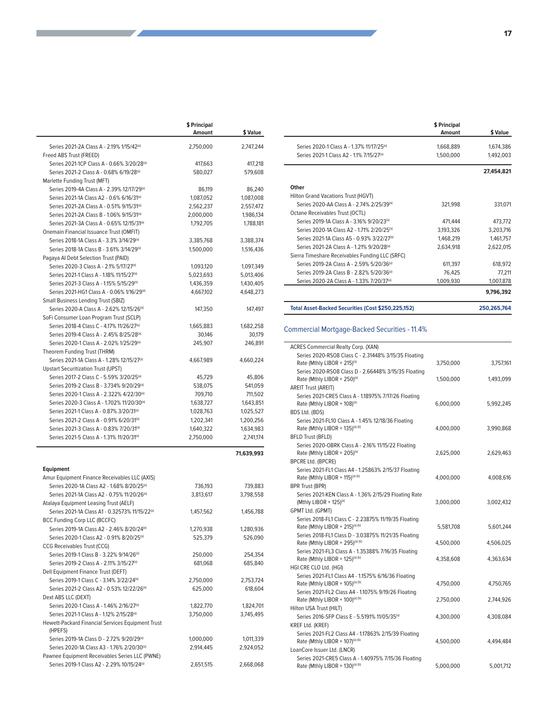|                                                                                                    | \$ Principal<br>Amount | \$ Value               |
|----------------------------------------------------------------------------------------------------|------------------------|------------------------|
| Series 2021-2A Class A - 2.19% 1/15/42(a)<br>Freed ABS Trust (FREED)                               | 2,750,000              | 2,747,244              |
| Series 2021-1CP Class A - 0.66% 3/20/28 <sup>(a)</sup>                                             | 417,663                | 417,218                |
| Series 2021-2 Class A - 0.68% 6/19/28 <sup>(a)</sup>                                               | 580,027                | 579,608                |
| Marlette Funding Trust (MFT)                                                                       |                        |                        |
| Series 2019-4A Class A - 2.39% 12/17/29(a)                                                         | 86,119                 | 86,240                 |
| Series 2021-1A Class A2 - 0.6% 6/16/31(a)                                                          | 1,087,052              | 1,087,008              |
| Series 2021-2A Class A - 0.51% 9/15/31 <sup>(a)</sup>                                              | 2,562,237              | 2,557,472              |
| Series 2021-2A Class B - 1.06% 9/15/31 <sup>(a)</sup>                                              | 2,000,000              | 1,986,134              |
| Series 2021-3A Class A - 0.65% 12/15/31(a)                                                         | 1,792,705              | 1,788,181              |
| Onemain Financial Issuance Trust (OMFIT)                                                           |                        |                        |
| Series 2018-1A Class A - 3.3% 3/14/29(a)                                                           | 3,385,768              | 3,388,374              |
| Series 2018-1A Class B - 3.61% 3/14/29 <sup>(a)</sup><br>Pagaya Al Debt Selection Trust (PAID)     | 1,500,000              | 1,516,436              |
| Series 2020-3 Class A - 2.1% 5/17/27 <sup>(a)</sup>                                                | 1,093,120              | 1,097,349              |
| Series 2021-1 Class A - 1.18% 11/15/27 <sup>(a)</sup>                                              | 5,023,693              | 5,013,406              |
| Series 2021-3 Class A - 1.15% 5/15/29 <sup>(a)</sup>                                               | 1,436,359              | 1,430,405              |
| Series 2021-HG1 Class A - 0.06% 1/16/29(a)                                                         | 4,667,102              | 4,648,273              |
| Small Business Lending Trust (SBIZ)                                                                |                        |                        |
| Series 2020-A Class A - 2.62% 12/15/26(a)                                                          | 147,350                | 147,497                |
| SoFi Consumer Loan Program Trust (SCLP)                                                            |                        |                        |
| Series 2018-4 Class C - 4.17% 11/26/27(a)                                                          | 1,665,883              | 1,682,258              |
| Series 2019-4 Class A - 2.45% 8/25/28(a)                                                           | 30.146                 | 30,179                 |
| Series 2020-1 Class A - 2.02% 1/25/29 <sup>(a)</sup>                                               | 245,907                | 246,891                |
| Theorem Funding Trust (THRM)                                                                       |                        |                        |
| Series 2021-1A Class A - 1.28% 12/15/27(a)                                                         | 4,667,989              | 4,660,224              |
| <b>Upstart Securitization Trust (UPST)</b>                                                         |                        |                        |
| Series 2017-2 Class C - 5.59% 3/20/25(a)                                                           | 45,729                 | 45,806                 |
| Series 2019-2 Class B - 3.734% 9/20/29(a)                                                          | 538,075                | 541,059                |
| Series 2020-1 Class A - 2.322% 4/22/30 <sup>(a)</sup>                                              | 709,710                | 711,502                |
| Series 2020-3 Class A - 1.702% 11/20/30(a)<br>Series 2021-1 Class A - 0.87% 3/20/31 <sup>(a)</sup> | 1,638,727              | 1,643,851              |
| Series 2021-2 Class A - 0.91% 6/20/31 <sup>(a)</sup>                                               | 1,028,763<br>1,202,341 | 1,025,527<br>1,200,256 |
| Series 2021-3 Class A - 0.83% 7/20/31(a)                                                           | 1,640,322              | 1,634,983              |
| Series 2021-5 Class A - 1.31% 11/20/31(a)                                                          | 2,750,000              | 2,741,174              |
|                                                                                                    |                        |                        |
|                                                                                                    |                        | 71,639,993             |
| Equipment                                                                                          |                        |                        |
| Amur Equipment Finance Receivables LLC (AXIS)                                                      |                        |                        |
| Series 2020-1A Class A2 - 1.68% 8/20/25 <sup>(a)</sup>                                             | 736,193                | 739,883                |
| Series 2021-1A Class A2 - 0.75% 11/20/26(a)<br>Atalaya Equipment Leasing Trust (AELF)              | 3,813,617              | 3,798,558              |
| Series 2021-1A Class A1 - 0.32573% 11/15/22(a)                                                     | 1,457,562              | 1,456,788              |
| <b>BCC Funding Corp LLC (BCCFC)</b>                                                                |                        |                        |
| Series 2019-1A Class A2 - 2.46% 8/20/24(a)                                                         | 1,270,938              | 1,280,936              |
| Series 2020-1 Class A2 - 0.91% 8/20/25 <sup>(a)</sup>                                              | 525,379                | 526,090                |
| CCG Receivables Trust (CCG)                                                                        |                        |                        |
| Series 2019-1 Class B - 3.22% 9/14/26(a)                                                           | 250,000                | 254,354                |
| Series 2019-2 Class A - 2.11% 3/15/27 <sup>(a)</sup>                                               | 681,068                | 685,840                |
| Dell Equipment Finance Trust (DEFT)                                                                |                        |                        |
| Series 2019-1 Class C - 3.14% 3/22/24 <sup>(a)</sup>                                               | 2,750,000              | 2,753,724              |
| Series 2021-2 Class A2 - 0.53% 12/22/26 <sup>(a)</sup>                                             | 625,000                | 618,604                |
| Dext ABS LLC (DEXT)                                                                                |                        |                        |
| Series 2020-1 Class A - 1.46% 2/16/27 <sup>(a)</sup>                                               | 1,822,770              | 1,824,701              |
| Series 2021-1 Class A - 1.12% 2/15/28(a)                                                           | 3,750,000              | 3,745,495              |
| Hewett-Packard Financial Services Equipment Trust                                                  |                        |                        |
| (HPEFS)<br>Series 2019-1A Class D - 2.72% 9/20/29 <sup>(a)</sup>                                   |                        | 1,011,339              |
| Series 2020-1A Class A3 - 1.76% 2/20/30 <sup>(a)</sup>                                             | 1,000,000<br>2,914,445 |                        |
| Pawnee Equipment Receivables Series LLC (PWNE)                                                     |                        | 2,924,052              |
| Series 2019-1 Class A2 - 2.29% 10/15/24(a)                                                         | 2,651,515              | 2,668,068              |
|                                                                                                    |                        |                        |

the contract of the contract of

|                                                        | \$ Principal<br>Amount | \$ Value    |
|--------------------------------------------------------|------------------------|-------------|
| Series 2020-1 Class A - 1.37% 11/17/25(a)              | 1,668,889              | 1,674,386   |
| Series 2021-1 Class A2 - 1.1% 7/15/27(a)               | 1,500,000              | 1,492,003   |
|                                                        |                        | 27.454.821  |
| Other                                                  |                        |             |
| Hilton Grand Vacations Trust (HGVT)                    |                        |             |
| Series 2020-AA Class A - 274% 2/25/39(a)               | 321.998                | 331.071     |
| Octane Receivables Trust (OCTL)                        |                        |             |
| Series 2019-14 Class A - 316% 9/20/23(a)               | 471,444                | 473.772     |
| Series 2020-1A Class A2 - 1.71% 2/20/25(a)             | 3,193,326              | 3,203,716   |
| Series 2021-1A Class A5 - 0.93% 3/22/27 <sup>(a)</sup> | 1.468.219              | 1.461.757   |
| Series 2021-2A Class A - 1.21% 9/20/28 <sup>(a)</sup>  | 2,634,918              | 2,622,015   |
| Sierra Timeshare Receivables Funding LLC (SRFC)        |                        |             |
| Series 2019-2A Class A - 2.59% 5/20/36 <sup>(a)</sup>  | 611.397                | 618.972     |
| Series 2019-2A Class B - 2.82% 5/20/36 <sup>(a)</sup>  | 76.425                 | 77.211      |
| Series 2020-2A Class A - 1.33% 7/20/37 <sup>(a)</sup>  | 1,009,930              | 1,007,878   |
|                                                        |                        | 9,796,392   |
| Total Asset-Backed Securities (Cost \$250,225,152)     |                        | 250,265,764 |

### Commercial Mortgage-Backed Securities - 11.4%

| <b>ACRES Commercial Realty Corp. (XAN)</b>                                          |           |           |
|-------------------------------------------------------------------------------------|-----------|-----------|
| Series 2020-RSO8 Class C - 2.31448% 3/15/35 Floating                                |           |           |
| Rate (Mthly LIBOR + 215)(a)                                                         | 3,750,000 | 3,757,161 |
| Series 2020-RSO8 Class D - 2.66448% 3/15/35 Floating                                |           |           |
| Rate (Mthly LIBOR + 250)(a)                                                         | 1,500,000 | 1,493,099 |
| <b>AREIT Trust (AREIT)</b>                                                          |           |           |
| Series 2021-CRE5 Class A - 1.18975% 7/17/26 Floating<br>Rate (Mthly LIBOR + 108)(a) | 6,000,000 | 5,992,245 |
| BDS Ltd. (BDS)                                                                      |           |           |
| Series 2021-FL10 Class A - 1.45% 12/18/36 Floating                                  |           |           |
| Rate (Mthly LIBOR + 135)(a) (b)                                                     | 4,000,000 | 3,990,868 |
| <b>BFLD Trust (BFLD)</b>                                                            |           |           |
| Series 2020-OBRK Class A - 2.16% 11/15/22 Floating                                  |           |           |
| Rate (Mthly LIBOR + 205) <sup>(a)</sup>                                             | 2,625,000 | 2,629,463 |
| <b>BPCRE Ltd. (BPCRE)</b>                                                           |           |           |
| Series 2021-FL1 Class A4 - 1.25863% 2/15/37 Floating                                |           |           |
| Rate (Mthly LIBOR + 115)(a) (b)                                                     | 4,000,000 | 4,008,616 |
| <b>BPR Trust (BPR)</b>                                                              |           |           |
| Series 2021-KEN Class A - 1.36% 2/15/29 Floating Rate                               |           |           |
| (Mthly LIBOR + 125) <sup>(a)</sup><br>GPMT Ltd. (GPMT)                              | 3,000,000 | 3,002,432 |
| Series 2018-FL1 Class C - 2.23875% 11/19/35 Floating                                |           |           |
| Rate (Mthly LIBOR + 215)(a) (b)                                                     | 5,581,708 | 5,601,244 |
| Series 2018-FL1 Class D - 3.03875% 11/21/35 Floating                                |           |           |
| Rate (Mthly LIBOR + 295)(a) (b)                                                     | 4,500,000 | 4,506,025 |
| Series 2021-FL3 Class A - 1.35388% 7/16/35 Floating                                 |           |           |
| Rate (Mthly LIBOR + 125)(a) (b)                                                     | 4,358,608 | 4,363,634 |
| HGI CRE CLO Ltd. (HGI)                                                              |           |           |
| Series 2021-FL1 Class A4 - 1.1575% 6/16/36 Floating                                 |           |           |
| Rate (Mthly LIBOR + 105)(a) (b)                                                     | 4,750,000 | 4,750,765 |
| Series 2021-FL2 Class A4 - 1.1075% 9/19/26 Floating                                 |           |           |
| Rate (Mthly LIBOR + 100)(a) (b)<br>Hilton USA Trust (HILT)                          | 2,750,000 | 2,744,926 |
| Series 2016-SFP Class E - 5.5191% 11/05/35(a)                                       | 4,300,000 | 4,308,084 |
| KREF Ltd. (KREF)                                                                    |           |           |
| Series 2021-FL2 Class A4 - 1.17863% 2/15/39 Floating                                |           |           |
| Rate (Mthly LIBOR + 107)(a) (b)                                                     | 4,500,000 | 4,494,484 |
| LoanCore Issuer Ltd. (LNCR)                                                         |           |           |
| Series 2021-CRE5 Class A - 1.40975% 7/15/36 Floating                                |           |           |
| Rate (Mthly LIBOR + 130)(a) (b)                                                     | 5,000,000 | 5,001,712 |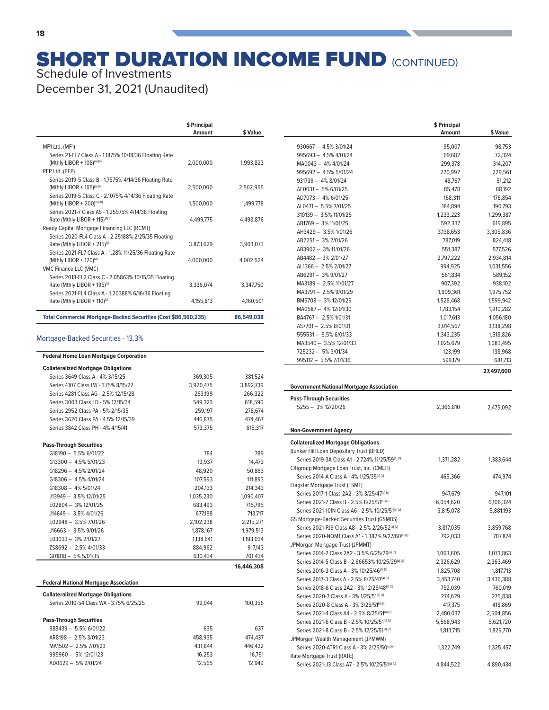### **SHORT DURATION INCOME FUND (CONTINUED)** Schedule of Investments

December 31, 2021 (Unaudited)

|                                                                                                        | \$ Principal<br>Amount | \$ Value   |
|--------------------------------------------------------------------------------------------------------|------------------------|------------|
| MF1 Ltd. (MF1)                                                                                         |                        |            |
| Series 21-FL7 Class A - 1.1875% 10/18/36 Floating Rate<br>(Mthly LIBOR + 108)(a) (b)<br>PFP Ltd. (PFP) | 2.000.000              | 1,993,823  |
| Series 2019-5 Class B - 1.7575% 4/14/36 Floating Rate<br>(Mthly LIBOR + 165)(a) (b)                    | 2.500.000              | 2.502.955  |
| Series 2019-5 Class C - 2.1075% 4/14/36 Floating Rate<br>(Mthly LIBOR + 200)(a) (b)                    | 1,500,000              | 1,499,778  |
| Series 2021-7 Class AS - 1.25975% 4/14/38 Floating<br>Rate (Mthly LIBOR + 115)(a) (b)                  | 4.499.775              | 4,493,876  |
| Ready Capital Mortgage Financing LLC (RCMT)<br>Series 2020-FL4 Class A - 2.25188% 2/25/35 Floating     |                        |            |
| Rate (Mthly LIBOR + 215) <sup>(a)</sup><br>Series 2021-FL7 Class A - 1.28% 11/25/36 Floating Rate      | 3.873.629              | 3.903.073  |
| (Mthly LIBOR + $120$ ) <sup>(a)</sup>                                                                  | 4.000.000              | 4.002.524  |
| VMC Finance LLC (VMC)                                                                                  |                        |            |
| Series 2018-FL2 Class C - 2.05863% 10/15/35 Floating<br>Rate (Mthly LIBOR + 195) <sup>(a)</sup>        | 3.336.074              | 3.347.750  |
| Series 2021-FL4 Class A - 1.20388% 6/16/36 Floating<br>Rate (Mthly LIBOR + 110)(a)                     | 4,155,813              | 4.160.501  |
| <b>Total Commercial Mortgage-Backed Securities (Cost \$86,560,235)</b>                                 |                        | 86.549.038 |

#### Mortgage-Backed Securities - 13.3%

| <b>Federal Home Loan Mortgage Corporation</b> |           |            |
|-----------------------------------------------|-----------|------------|
| <b>Collateralized Mortgage Obligations</b>    |           |            |
| Series 3649 Class A - 4% 3/15/25              | 369.305   | 381,524    |
| Series 4107 Class LW - 1.75% 8/15/27          | 3,920,475 | 3,892,739  |
| Series 4281 Class AG - 2.5% 12/15/28          | 263,199   | 266,322    |
| Series 3003 Class LD - 5% 12/15/34            | 549,323   | 618,590    |
| Series 2952 Class PA - 5% 2/15/35             | 259,197   | 278,674    |
| Series 3620 Class PA - 4.5% 12/15/39          | 446,875   | 474,467    |
| Series 3842 Class PH - 4% 4/15/41             | 573,375   | 615,317    |
| <b>Pass-Through Securities</b>                |           |            |
| G18190 - 5.5% 6/01/22                         | 784       | 789        |
| G13300 - 4.5% 5/01/23                         | 13,937    | 14,473     |
| G18296 - 4.5% 2/01/24                         | 48,920    | 50,863     |
| G18306 - 4.5% 4/01/24                         | 107,593   | 111,893    |
| G18308 - 4% 5/01/24                           | 204,133   | 214,343    |
| $J13949 - 3.5\% 12/01/25$                     | 1,035,230 | 1,090,407  |
| E02804 - 3% 12/01/25                          | 683,493   | 715,795    |
| $J14649 - 3.5\% 4/01/26$                      | 677,188   | 713,717    |
| E02948 - 3.5% 7/01/26                         | 2,102,238 | 2,215,271  |
| $J16663 - 3.5\%9/01/26$                       | 1,878,167 | 1,979,513  |
| E03033 - 3% 2/01/27                           | 1,138,641 | 1,193,034  |
| ZS8692 - 2.5% 4/01/33                         | 884,962   | 917,143    |
| G01818 - 5% 5/01/35                           | 630,434   | 701,434    |
|                                               |           | 16,446,308 |
| <b>Federal National Mortgage Association</b>  |           |            |
| <b>Collateralized Mortgage Obligations</b>    |           |            |
| Series 2010-54 Class WA - 3.75% 6/25/25       | 99.044    | 100,356    |
| <b>Pass-Through Securities</b>                |           |            |
| 888439 - 5.5% 6/01/22                         | 635       | 637        |
| AR8198 - 2.5% 3/01/23                         | 458,935   | 474,437    |
| MA1502 - 2.5% 7/01/23                         | 431,844   | 446.432    |
| 995960 - 5% 12/01/23                          | 16.253    | 16.751     |
| AD0629 - 5% 2/01/24                           | 12,565    | 12,949     |

|                         | Amount    | \$ Value   |
|-------------------------|-----------|------------|
| $930667 - 4.5\%3/01/24$ | 95,007    | 98,753     |
| 995693 - 4.5% 4/01/24   | 69,682    | 72,324     |
| MA0043 - 4% 4/01/24     | 299,378   | 314,207    |
| 995692 - 4.5% 5/01/24   | 220,992   | 229,561    |
| 931739 - 4% 8/01/24     | 48.767    | 51,212     |
|                         |           |            |
| AE0031- 5% 6/01/25      | 85.478    | 88,192     |
| AD7073 - 4% 6/01/25     | 168.311   | 176,854    |
| AL0471- 5.5% 7/01/25    | 184.894   | 190,793    |
| 310139 - 3.5% 11/01/25  | 1,233,223 | 1,299,387  |
| AB1769 - 3% 11/01/25    | 592,337   | 619,895    |
| AH3429 - 3.5% 1/01/26   | 3,138,653 | 3,305,836  |
| AB2251-3% 2/01/26       | 787,019   | 824,418    |
| AB3902 - 3% 11/01/26    | 551,387   | 577,526    |
| AB4482 - 3% 2/01/27     | 2,797,222 | 2,934,814  |
| AL1366 - 2.5% 2/01/27   | 994,925   | 1,031,556  |
| AB6291-3% 9/01/27       | 561,834   | 589,152    |
| MA3189 - 2.5% 11/01/27  | 907.392   | 938,102    |
| MA3791-2.5% 9/01/29     | 1.909.361 | 1,975,752  |
| BM5708-3%12/01/29       | 1,528,468 | 1,599,942  |
| MA0587 - 4% 12/01/30    | 1.783.154 | 1,910,282  |
| BA4767 - 2.5% 1/01/31   | 1,017,613 | 1,056,180  |
| AS7701-2.5% 8/01/31     | 3,014,567 | 3,138,298  |
| 555531 - 5.5% 6/01/33   | 1,343,235 | 1,518,826  |
| MA3540 - 3.5% 12/01/33  | 1,025,679 | 1,083,495  |
| 725232 - 5% 3/01/34     | 123,199   | 138,968    |
| 995112 - 5.5% 7/01/36   | 599,179   | 681,713    |
|                         |           | 27.497.600 |

**\$ Principal** 

### **Government National Mortgage Association**

| <b>Pass-Through Securities</b><br>$5255 - 3\% 12/20/26$ | 2.366.810 | 2,475,092 |
|---------------------------------------------------------|-----------|-----------|
| <b>Non-Government Agency</b>                            |           |           |
| <b>Collateralized Mortgage Obligations</b>              |           |           |

| Bunker Hill Loan Depositary Trust (BHLD)                 |           |           |
|----------------------------------------------------------|-----------|-----------|
| Series 2019-3A Class A1 - 2.724% 11/25/59(a) (c)         | 1,371,282 | 1,383,644 |
| Citigroup Mortgage Loan Trust, Inc. (CMLTI)              |           |           |
| Series 2014-A Class A - 4% 1/25/35(a) (c)                | 465,366   | 474,974   |
| Flagstar Mortgage Trust (FSMT)                           |           |           |
| Series 2017-1 Class 2A2 - 3% 3/25/47(a) (c)              | 947.679   | 947,101   |
| Series 2021-7 Class B - 2.5% 8/25/51(a) (c)              | 6,054,620 | 6,106,324 |
| Series 2021-10IN Class A6 - 2.5% 10/25/51(a) (c)         | 5,815,078 | 5,881,193 |
| <b>GS Mortgage-Backed Securities Trust (GSMBS)</b>       |           |           |
| Series 2021-PJ9 Class A8 - 2.5% 2/26/52(a) (c)           | 3,817,035 | 3,859,768 |
| Series 2020-NQM1 Class A1 - 1.382% 9/27/60(a) (c)        | 792,033   | 787,874   |
| JPMorgan Mortgage Trust (JPMMT)                          |           |           |
| Series 2014-2 Class 2A2 - 3.5% 6/25/29(a) (c)            | 1,063,605 | 1,073,863 |
| Series 2014-5 Class B - 2.86653% 10/25/29(a) (c)         | 2,326,629 | 2,363,469 |
| Series 2016-3 Class A - 3% 10/25/46 <sup>(a) (c)</sup>   | 1,825,708 | 1,817,713 |
| Series 2017-3 Class A - 2.5% 8/25/47(a) (c)              | 3,453,740 | 3,436,388 |
| Series 2018-6 Class 2A2 - 3% 12/25/48 <sup>(a) (c)</sup> | 752.039   | 760,019   |
| Series 2020-7 Class A - 3% 1/25/51(a) (c)                | 274,629   | 275,838   |
| Series 2020-8 Class A - 3% 3/25/51(a) (c)                | 417,375   | 418,869   |
| Series 2021-4 Class A4 - 2.5% 8/25/51(a) (c)             | 2,480,037 | 2,504,856 |
| Series 2021-6 Class B - 2.5% 10/25/51(a) (c)             | 5,568,943 | 5,621,720 |
| Series 2021-8 Class B - 2.5% 12/25/51(a) (c)             | 1,813,715 | 1,829,770 |
| JPMorgan Wealth Management (JPMWM)                       |           |           |
| Series 2020-ATR1 Class A - 3% 2/25/50(a) (c)             | 1,322,749 | 1,325,457 |
| Rate Mortgage Trust (RATE)                               |           |           |
| Series 2021-J3 Class A7 - 2.5% 10/25/51(a) (c)           | 4.844.522 | 4.890.434 |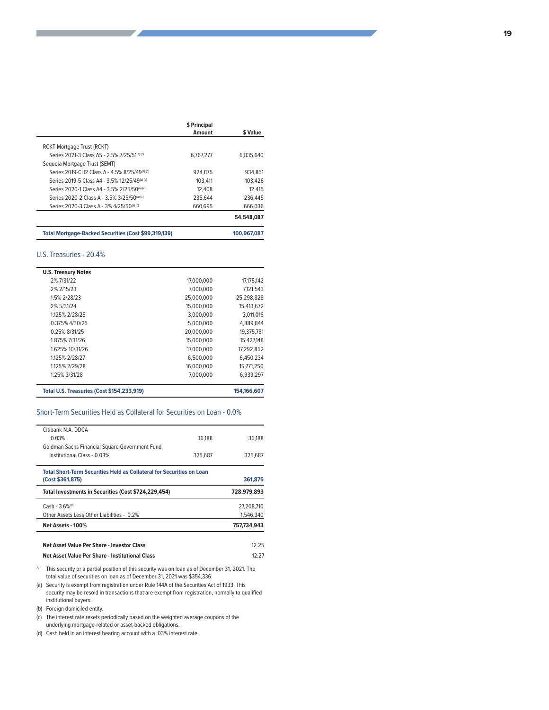|                                                             | \$ Principal |             |
|-------------------------------------------------------------|--------------|-------------|
|                                                             | Amount       | \$ Value    |
| <b>RCKT Mortgage Trust (RCKT)</b>                           |              |             |
| Series 2021-3 Class A5 - 2.5% 7/25/51(a) (c)                | 6.767.277    | 6.835.640   |
| Seguoia Mortgage Trust (SEMT)                               |              |             |
| Series 2019-CH2 Class A - 4.5% 8/25/49(a) (c)               | 924.875      | 934.851     |
| Series 2019-5 Class A4 - 3.5% 12/25/49(a) (c)               | 103.411      | 103.426     |
| Series 2020-1 Class A4 - 3.5% 2/25/50(a) (c)                | 12,408       | 12,415      |
| Series 2020-2 Class A - 3.5% 3/25/50(a) (c)                 | 235.644      | 236.445     |
| Series 2020-3 Class A - 3% 4/25/50(a) (c)                   | 660.695      | 666.036     |
|                                                             |              | 54.548.087  |
| <b>Total Mortgage-Backed Securities (Cost \$99,319,139)</b> |              | 100.967.087 |

### U.S. Treasuries - 20.4%

| <b>U.S. Treasury Notes</b>                        |            |             |
|---------------------------------------------------|------------|-------------|
| 2% 7/31/22                                        | 17,000,000 | 17,175,142  |
| 2% 2/15/23                                        | 7.000.000  | 7.121.543   |
| 1.5% 2/28/23                                      | 25,000,000 | 25,298,828  |
| 2% 5/31/24                                        | 15,000,000 | 15.413.672  |
| 1125% 2/28/25                                     | 3.000.000  | 3.011.016   |
| 0.375% 4/30/25                                    | 5.000.000  | 4.889.844   |
| 0.25% 8/31/25                                     | 20.000.000 | 19.375.781  |
| 1.875% 7/31/26                                    | 15,000,000 | 15.427.148  |
| 1.625% 10/31/26                                   | 17.000.000 | 17,292,852  |
| 1125% 2/28/27                                     | 6.500.000  | 6.450.234   |
| 1125% 2/29/28                                     | 16.000.000 | 15.771.250  |
| 1.25% 3/31/28                                     | 7.000.000  | 6.939.297   |
| <b>Total U.S. Treasuries (Cost \$154,233,919)</b> |            | 154,166,607 |

#### Short-Term Securities Held as Collateral for Securities on Loan - 0.0%a

| Citibank N.A. DDCA                                                    |         |             |
|-----------------------------------------------------------------------|---------|-------------|
| 0.03%                                                                 | 36,188  | 36.188      |
| Goldman Sachs Financial Square Government Fund                        |         |             |
| Institutional Class - 0.03%                                           | 325.687 | 325.687     |
| Total Short-Term Securities Held as Collateral for Securities on Loan |         |             |
| (Cost \$361,875)                                                      |         | 361,875     |
| Total Investments in Securities (Cost \$724,229,454)                  |         | 728,979,893 |
| $Cash - 3.6%$ <sup>(d)</sup>                                          |         | 27.208.710  |
| Other Assets Less Other Liabilities - 0.2%                            |         | 1,546,340   |
| Net Assets - 100%                                                     |         | 757.734.943 |
| Net Asset Value Per Share - Investor Class                            |         | 12.25       |
| Net Asset Value Per Share - Institutional Class                       |         | 12.27       |
|                                                                       |         |             |

^ This security or a partial position of this security was on loan as of December 31, 2021. The total value of securities on loan as of December 31, 2021 was \$354,336.

(a) Security is exempt from registration under Rule 144A of the Securities Act of 1933. This security may be resold in transactions that are exempt from registration, normally to qualified institutional buyers.

(b) Foreign domiciled entity.

(c) The interest rate resets periodically based on the weighted average coupons of the underlying mortgage-related or asset-backed obligations.

(d) Cash held in an interest bearing account with a .03% interest rate.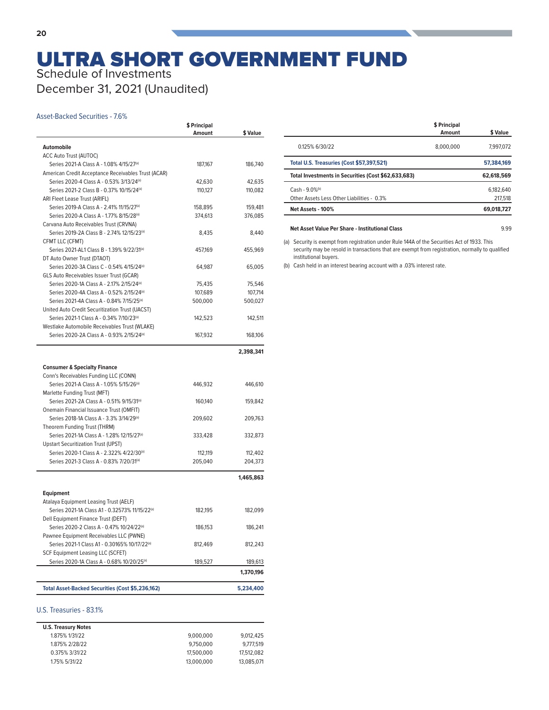### ULTRA SHORT GOVERNMENT FUND Schedule of Investments

December 31, 2021 (Unaudited)

### Asset-Backed Securities - 7.6%

|                                                        | \$ Principal<br>Amount | \$ Value  |
|--------------------------------------------------------|------------------------|-----------|
| <b>Automobile</b>                                      |                        |           |
| ACC Auto Trust (AUTOC)                                 |                        |           |
| Series 2021-A Class A - 1.08% 4/15/27 <sup>(a)</sup>   | 187,167                | 186,740   |
| American Credit Acceptance Receivables Trust (ACAR)    |                        |           |
| Series 2020-4 Class A - 0.53% 3/13/24(a)               | 42,630                 | 42,635    |
| Series 2021-2 Class B - 0.37% 10/15/24(a)              | 110,127                | 110,082   |
| ARI Fleet Lease Trust (ARIFL)                          |                        |           |
| Series 2019-A Class A - 2.41% 11/15/27 <sup>(a)</sup>  | 158,895                | 159,481   |
| Series 2020-A Class A - 1.77% 8/15/28 <sup>(a)</sup>   | 374,613                | 376,085   |
| Carvana Auto Receivables Trust (CRVNA)                 |                        |           |
| Series 2019-2A Class B - 2.74% 12/15/23(a)             | 8,435                  | 8,440     |
| CFMT LLC (CFMT)                                        |                        |           |
| Series 2021-AL1 Class B - 1.39% 9/22/31 <sup>(a)</sup> | 457,169                | 455,969   |
| DT Auto Owner Trust (DTAOT)                            |                        |           |
| Series 2020-3A Class C - 0.54% 4/15/24(a)              | 64,987                 | 65,005    |
| GLS Auto Receivables Issuer Trust (GCAR)               |                        |           |
| Series 2020-1A Class A - 2.17% 2/15/24(a)              | 75,435                 | 75,546    |
| Series 2020-4A Class A - 0.52% 2/15/24(a)              | 107,689                | 107,714   |
| Series 2021-4A Class A - 0.84% 7/15/25(a)              | 500,000                | 500,027   |
| United Auto Credit Securitization Trust (UACST)        |                        |           |
| Series 2021-1 Class A - 0.34% 7/10/23(a)               | 142,523                | 142,511   |
| Westlake Automobile Receivables Trust (WLAKE)          |                        |           |
| Series 2020-2A Class A - 0.93% 2/15/24(a)              | 167,932                | 168,106   |
|                                                        |                        | 2,398,341 |
| <b>Consumer &amp; Specialty Finance</b>                |                        |           |
| Conn's Receivables Funding LLC (CONN)                  |                        |           |
| Series 2021-A Class A - 1.05% 5/15/26 <sup>(a)</sup>   | 446,932                | 446,610   |
| Marlette Funding Trust (MFT)                           |                        |           |
| Series 2021-2A Class A - 0.51% 9/15/31 <sup>(a)</sup>  | 160,140                | 159,842   |
| Onemain Financial Issuance Trust (OMFIT)               |                        |           |
| Series 2018-1A Class A - 3.3% 3/14/29(a)               | 209,602                | 209,763   |
| Theorem Funding Trust (THRM)                           |                        |           |
| Series 2021-1A Class A - 1.28% 12/15/27(a)             | 333,428                | 332,873   |
| <b>Upstart Securitization Trust (UPST)</b>             |                        |           |
| Series 2020-1 Class A - 2.322% 4/22/30 <sup>(a)</sup>  | 112,119                | 112,402   |
| Series 2021-3 Class A - 0.83% 7/20/31(a)               | 205,040                | 204,373   |
|                                                        |                        | 1,465,863 |
| <b>Equipment</b>                                       |                        |           |
| Atalaya Equipment Leasing Trust (AELF)                 |                        |           |
| Series 2021-1A Class A1 - 0.32573% 11/15/22(a)         | 182,195                | 182,099   |
| Dell Equipment Finance Trust (DEFT)                    |                        |           |
| Series 2020-2 Class A - 0.47% 10/24/22(a)              | 186,153                | 186,241   |
| Pawnee Equipment Receivables LLC (PWNE)                |                        |           |
| Series 2021-1 Class A1 - 0.30165% 10/17/22(a)          | 812,469                | 812,243   |
| SCF Equipment Leasing LLC (SCFET)                      |                        |           |
| Series 2020-1A Class A - 0.68% 10/20/25(a)             | 189,527                | 189,613   |
|                                                        |                        | 1,370,196 |
|                                                        |                        |           |

|  | U.S. Treasuries - 83.1% |  |
|--|-------------------------|--|
|--|-------------------------|--|

| <b>U.S. Treasury Notes</b> |            |            |
|----------------------------|------------|------------|
| 1.875% 1/31/22             | 9.000.000  | 9.012.425  |
| 1.875% 2/28/22             | 9.750.000  | 9.777.519  |
| 0.375% 3/31/22             | 17,500,000 | 17.512.082 |
| 1.75% 5/31/22              | 13,000,000 | 13.085.071 |

|                                                     | \$ Principal<br>Amount | \$ Value   |
|-----------------------------------------------------|------------------------|------------|
| 0.125% 6/30/22                                      | 8.000.000              | 7,997,072  |
| Total U.S. Treasuries (Cost \$57,397,521)           |                        | 57.384.169 |
| Total Investments in Securities (Cost \$62,633,683) |                        | 62.618.569 |
| $Cash - 9.0%^{b)}$                                  |                        | 6.182.640  |
| Other Assets Less Other Liabilities - 0.3%          |                        | 217,518    |
| Net Assets - 100%                                   |                        | 69.018.727 |

**Net Asset Value Per Share - Institutional Class** 9.99

(a) Security is exempt from registration under Rule 144A of the Securities Act of 1933. This security may be resold in transactions that are exempt from registration, normally to qualified institutional buyers.

(b) Cash held in an interest bearing account with a .03% interest rate.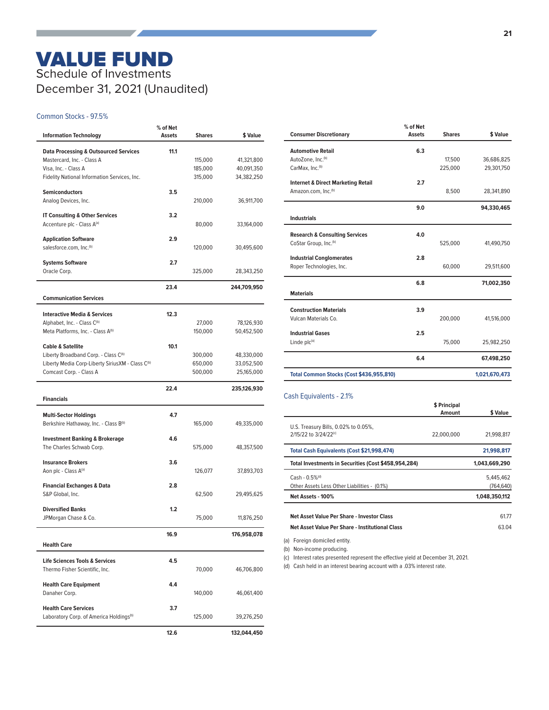### VALUE FUND Schedule of Investments December 31, 2021 (Unaudited)

### Common Stocks - 97.5%

| <b>Information Technology</b>                                    | % of Net<br>Assets | <b>Shares</b> | \$ Value    |
|------------------------------------------------------------------|--------------------|---------------|-------------|
| <b>Data Processing &amp; Outsourced Services</b>                 | 11.1               |               |             |
| Mastercard, Inc. - Class A                                       |                    | 115,000       | 41,321,800  |
| Visa, Inc. - Class A                                             |                    | 185,000       | 40,091,350  |
| Fidelity National Information Services, Inc.                     |                    | 315,000       | 34,382,250  |
| <b>Semiconductors</b>                                            | 3.5                |               |             |
| Analog Devices, Inc.                                             |                    | 210,000       | 36,911,700  |
| <b>IT Consulting &amp; Other Services</b>                        | 3.2                |               |             |
| Accenture plc - Class A(a)                                       |                    | 80,000        | 33,164,000  |
| <b>Application Software</b>                                      | 2.9                |               |             |
| salesforce.com, Inc. <sup>(b)</sup>                              |                    | 120,000       | 30,495,600  |
| <b>Systems Software</b>                                          | 2.7                |               |             |
| Oracle Corp.                                                     |                    | 325,000       | 28,343,250  |
| <b>Communication Services</b>                                    | 23.4               |               | 244,709,950 |
|                                                                  |                    |               |             |
| <b>Interactive Media &amp; Services</b>                          | 12.3               |               |             |
| Alphabet, Inc. - Class C(b)<br>Meta Platforms, Inc. - Class A(b) |                    | 27,000        | 78,126,930  |
|                                                                  |                    | 150,000       | 50,452,500  |
| <b>Cable &amp; Satellite</b>                                     | 10.1               |               |             |
| Liberty Broadband Corp. - Class C <sup>(b)</sup>                 |                    | 300,000       | 48,330,000  |
| Liberty Media Corp-Liberty SiriusXM - Class C <sup>(b)</sup>     |                    | 650,000       | 33,052,500  |
| Comcast Corp. - Class A                                          |                    | 500,000       | 25,165,000  |
|                                                                  |                    |               |             |
| <b>Financials</b>                                                | 22.4               |               | 235,126,930 |
|                                                                  |                    |               |             |
| <b>Multi-Sector Holdings</b>                                     | 4.7                |               |             |
| Berkshire Hathaway, Inc. - Class B(b)                            |                    | 165,000       | 49,335,000  |
| <b>Investment Banking &amp; Brokerage</b>                        | 4.6                |               |             |
| The Charles Schwab Corp.                                         |                    | 575,000       | 48,357,500  |
| <b>Insurance Brokers</b>                                         | 3.6                |               |             |
| Aon plc - Class A(a)                                             |                    | 126,077       | 37,893,703  |
| <b>Financial Exchanges &amp; Data</b>                            | 2.8                |               |             |
| S&P Global, Inc.                                                 |                    | 62,500        | 29,495,625  |
| <b>Diversified Banks</b>                                         | 1.2                |               |             |
| JPMorgan Chase & Co.                                             |                    | 75,000        | 11,876,250  |
|                                                                  | 16.9               |               | 176,958,078 |
| <b>Health Care</b>                                               |                    |               |             |
|                                                                  |                    |               |             |
| <b>Life Sciences Tools &amp; Services</b>                        | 4.5                |               |             |
| Thermo Fisher Scientific, Inc.                                   |                    | 70,000        | 46,706,800  |
| <b>Health Care Equipment</b>                                     | 4.4                |               |             |
| Danaher Corp.                                                    |                    | 140,000       | 46,061,400  |
| <b>Health Care Services</b>                                      | 3.7                |               |             |
| Laboratory Corp. of America Holdings <sup>(b)</sup>              |                    | 125,000       | 39,276,250  |

| <b>Consumer Discretionary</b>                 | % of Net<br><b>Assets</b> | <b>Shares</b> | \$ Value      |
|-----------------------------------------------|---------------------------|---------------|---------------|
|                                               |                           |               |               |
| <b>Automotive Retail</b>                      | 6.3                       |               |               |
| AutoZone, Inc. <sup>(b)</sup>                 |                           | 17,500        | 36,686,825    |
| CarMax, Inc. <sup>(b)</sup>                   |                           | 225,000       | 29,301,750    |
| <b>Internet &amp; Direct Marketing Retail</b> | 2.7                       |               |               |
| Amazon.com, Inc. <sup>(b)</sup>               |                           | 8,500         | 28,341,890    |
|                                               | 9.0                       |               | 94,330,465    |
| <b>Industrials</b>                            |                           |               |               |
| <b>Research &amp; Consulting Services</b>     | 4.0                       |               |               |
| CoStar Group, Inc. <sup>(b)</sup>             |                           | 525.000       | 41,490,750    |
|                                               |                           |               |               |
| <b>Industrial Conglomerates</b>               | 2.8                       |               |               |
| Roper Technologies, Inc.                      |                           | 60,000        | 29,511,600    |
|                                               | 6.8                       |               | 71,002,350    |
| <b>Materials</b>                              |                           |               |               |
| <b>Construction Materials</b>                 | 3.9                       |               |               |
| Vulcan Materials Co.                          |                           | 200,000       | 41,516,000    |
| <b>Industrial Gases</b>                       | 2.5                       |               |               |
| Linde plc(a)                                  |                           | 75,000        | 25,982,250    |
|                                               |                           |               |               |
|                                               | 6.4                       |               | 67,498,250    |
| Total Common Stocks (Cost \$436,955,810)      |                           |               | 1,021,670,473 |

### Cash Equivalents - 2.1%

|                                                                           | \$ Principal<br>Amount | \$ Value      |
|---------------------------------------------------------------------------|------------------------|---------------|
| U.S. Treasury Bills, 0.02% to 0.05%,<br>2/15/22 to 3/24/22 <sup>(c)</sup> | 22.000.000             | 21.998.817    |
| Total Cash Equivalents (Cost \$21,998,474)                                |                        | 21,998,817    |
| Total Investments in Securities (Cost \$458,954,284)                      |                        | 1.043.669.290 |
| $Cash - 0.5\%$ <sup>(d)</sup>                                             |                        | 5.445.462     |
| Other Assets Less Other Liabilities - (0.1%)                              |                        | (764, 640)    |
| Net Assets - 100%                                                         |                        | 1.048.350.112 |
|                                                                           |                        |               |
| Net Asset Value Per Share - Investor Class                                |                        | 61.77         |
| Net Asset Value Per Share - Institutional Class                           |                        | 63.04         |

(a) Foreign domiciled entity.

(b) Non-income producing.

(c) Interest rates presented represent the effective yield at December 31, 2021.

(d) Cash held in an interest bearing account with a .03% interest rate.